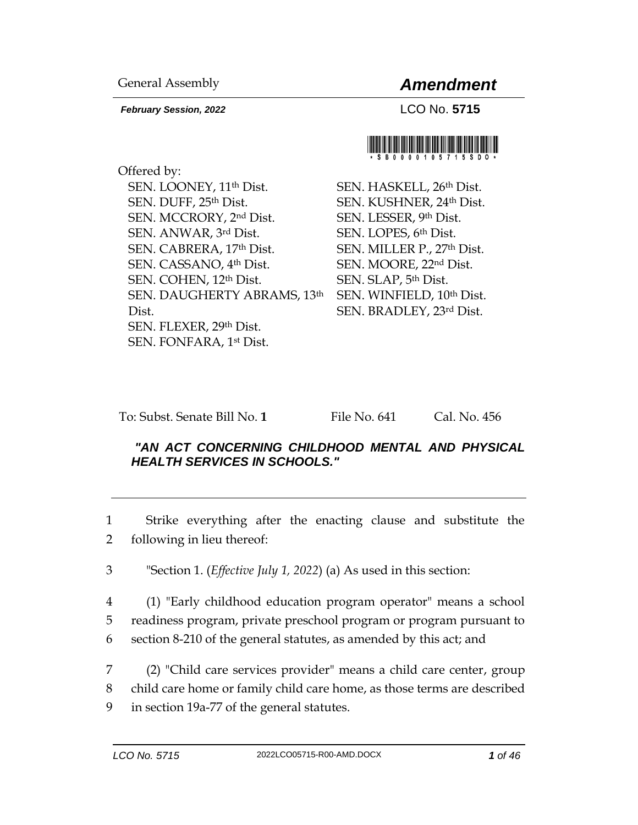*February Session, 2022* LCO No. **5715**

General Assembly *Amendment*



Offered by: SEN. LOONEY, 11th Dist. SEN. DUFF, 25th Dist. SEN. MCCRORY, 2nd Dist. SEN. ANWAR, 3rd Dist. SEN. CABRERA, 17th Dist. SEN. CASSANO, 4th Dist. SEN. COHEN, 12th Dist. SEN. DAUGHERTY ABRAMS, 13th Dist. SEN. FLEXER, 29th Dist. SEN. FONFARA, 1st Dist.

SEN. HASKELL, 26th Dist. SEN. KUSHNER, 24th Dist. SEN. LESSER, 9th Dist. SEN. LOPES, 6th Dist. SEN. MILLER P., 27th Dist. SEN. MOORE, 22nd Dist. SEN. SLAP, 5th Dist. SEN. WINFIELD, 10th Dist. SEN. BRADLEY, 23rd Dist.

To: Subst. Senate Bill No. **1** File No. 641 Cal. No. 456

## *"AN ACT CONCERNING CHILDHOOD MENTAL AND PHYSICAL HEALTH SERVICES IN SCHOOLS."*

1 Strike everything after the enacting clause and substitute the 2 following in lieu thereof:

3 "Section 1. (*Effective July 1, 2022*) (a) As used in this section:

4 (1) "Early childhood education program operator" means a school 5 readiness program, private preschool program or program pursuant to 6 section 8-210 of the general statutes, as amended by this act; and

7 (2) "Child care services provider" means a child care center, group 8 child care home or family child care home, as those terms are described 9 in section 19a-77 of the general statutes.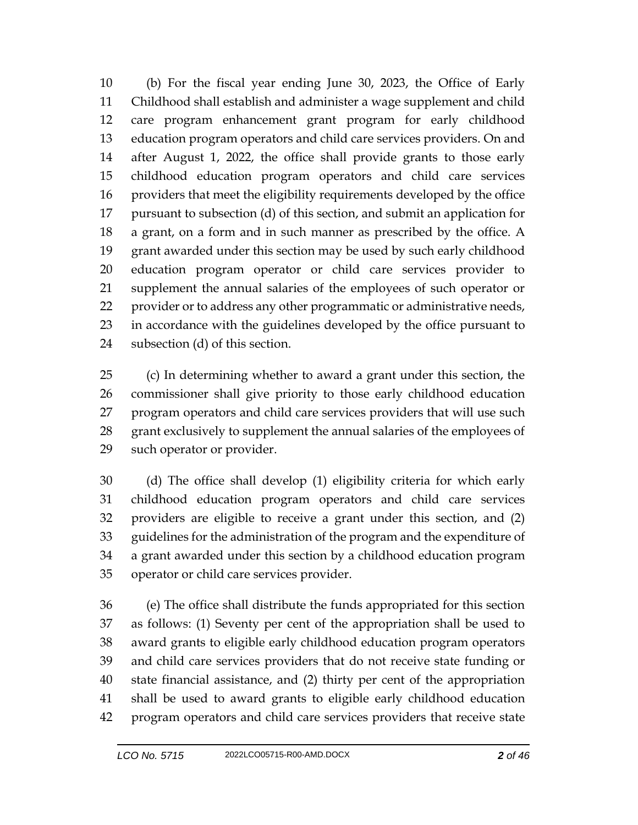(b) For the fiscal year ending June 30, 2023, the Office of Early Childhood shall establish and administer a wage supplement and child care program enhancement grant program for early childhood education program operators and child care services providers. On and after August 1, 2022, the office shall provide grants to those early childhood education program operators and child care services providers that meet the eligibility requirements developed by the office pursuant to subsection (d) of this section, and submit an application for a grant, on a form and in such manner as prescribed by the office. A grant awarded under this section may be used by such early childhood education program operator or child care services provider to supplement the annual salaries of the employees of such operator or provider or to address any other programmatic or administrative needs, in accordance with the guidelines developed by the office pursuant to subsection (d) of this section.

 (c) In determining whether to award a grant under this section, the commissioner shall give priority to those early childhood education program operators and child care services providers that will use such grant exclusively to supplement the annual salaries of the employees of such operator or provider.

 (d) The office shall develop (1) eligibility criteria for which early childhood education program operators and child care services providers are eligible to receive a grant under this section, and (2) guidelines for the administration of the program and the expenditure of a grant awarded under this section by a childhood education program operator or child care services provider.

 (e) The office shall distribute the funds appropriated for this section as follows: (1) Seventy per cent of the appropriation shall be used to award grants to eligible early childhood education program operators and child care services providers that do not receive state funding or state financial assistance, and (2) thirty per cent of the appropriation shall be used to award grants to eligible early childhood education program operators and child care services providers that receive state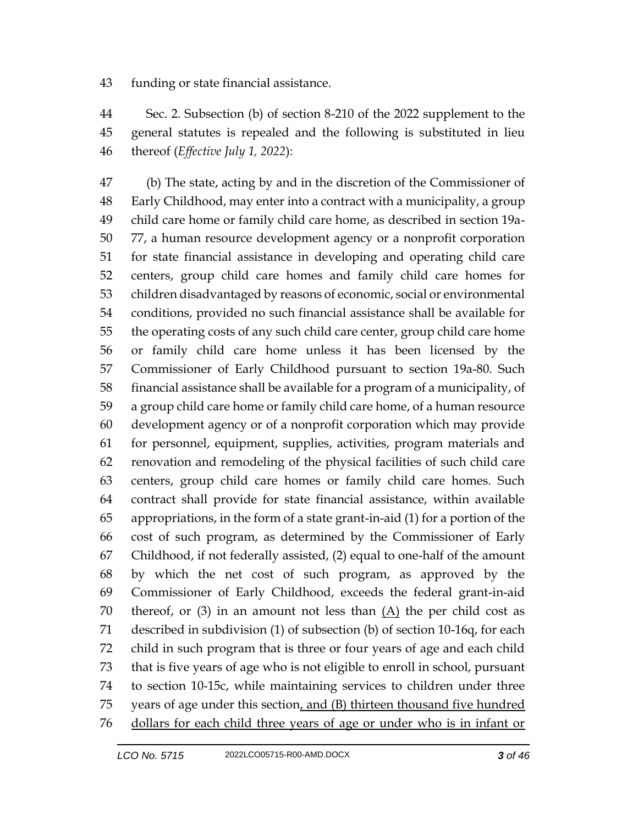funding or state financial assistance.

 Sec. 2. Subsection (b) of section 8-210 of the 2022 supplement to the general statutes is repealed and the following is substituted in lieu thereof (*Effective July 1, 2022*):

 (b) The state, acting by and in the discretion of the Commissioner of Early Childhood, may enter into a contract with a municipality, a group child care home or family child care home, as described in section 19a- 77, a human resource development agency or a nonprofit corporation for state financial assistance in developing and operating child care centers, group child care homes and family child care homes for children disadvantaged by reasons of economic, social or environmental conditions, provided no such financial assistance shall be available for the operating costs of any such child care center, group child care home or family child care home unless it has been licensed by the Commissioner of Early Childhood pursuant to section 19a-80. Such financial assistance shall be available for a program of a municipality, of a group child care home or family child care home, of a human resource development agency or of a nonprofit corporation which may provide for personnel, equipment, supplies, activities, program materials and renovation and remodeling of the physical facilities of such child care centers, group child care homes or family child care homes. Such contract shall provide for state financial assistance, within available appropriations, in the form of a state grant-in-aid (1) for a portion of the cost of such program, as determined by the Commissioner of Early Childhood, if not federally assisted, (2) equal to one-half of the amount by which the net cost of such program, as approved by the Commissioner of Early Childhood, exceeds the federal grant-in-aid 70 thereof, or (3) in an amount not less than  $(A)$  the per child cost as described in subdivision (1) of subsection (b) of section 10-16q, for each child in such program that is three or four years of age and each child that is five years of age who is not eligible to enroll in school, pursuant to section 10-15c, while maintaining services to children under three years of age under this section, and (B) thirteen thousand five hundred dollars for each child three years of age or under who is in infant or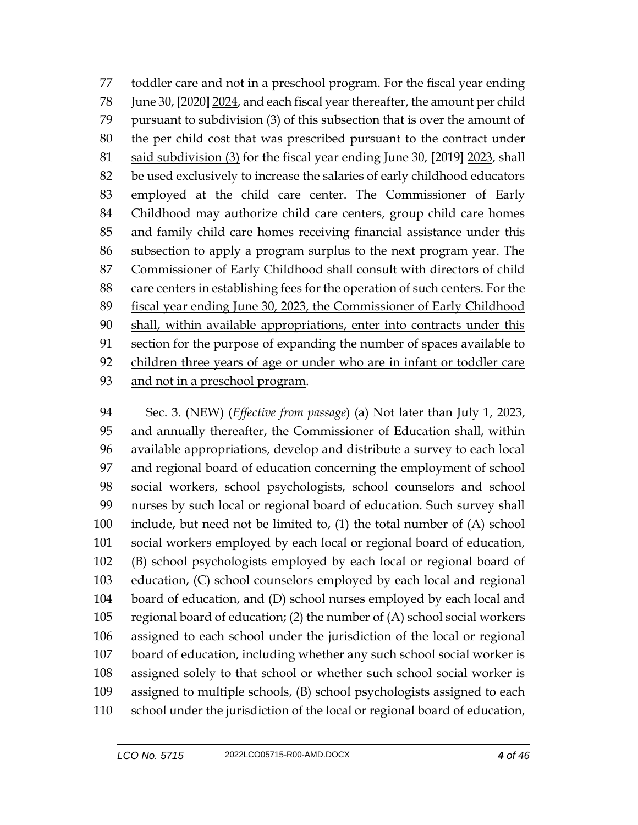toddler care and not in a preschool program. For the fiscal year ending June 30, **[**2020**]** 2024, and each fiscal year thereafter, the amount per child pursuant to subdivision (3) of this subsection that is over the amount of the per child cost that was prescribed pursuant to the contract under said subdivision (3) for the fiscal year ending June 30, **[**2019**]** 2023, shall be used exclusively to increase the salaries of early childhood educators employed at the child care center. The Commissioner of Early Childhood may authorize child care centers, group child care homes and family child care homes receiving financial assistance under this subsection to apply a program surplus to the next program year. The Commissioner of Early Childhood shall consult with directors of child care centers in establishing fees for the operation of such centers. For the fiscal year ending June 30, 2023, the Commissioner of Early Childhood shall, within available appropriations, enter into contracts under this 91 section for the purpose of expanding the number of spaces available to children three years of age or under who are in infant or toddler care and not in a preschool program.

 Sec. 3. (NEW) (*Effective from passage*) (a) Not later than July 1, 2023, and annually thereafter, the Commissioner of Education shall, within available appropriations, develop and distribute a survey to each local and regional board of education concerning the employment of school social workers, school psychologists, school counselors and school nurses by such local or regional board of education. Such survey shall include, but need not be limited to, (1) the total number of (A) school social workers employed by each local or regional board of education, (B) school psychologists employed by each local or regional board of education, (C) school counselors employed by each local and regional board of education, and (D) school nurses employed by each local and regional board of education; (2) the number of (A) school social workers assigned to each school under the jurisdiction of the local or regional board of education, including whether any such school social worker is assigned solely to that school or whether such school social worker is assigned to multiple schools, (B) school psychologists assigned to each school under the jurisdiction of the local or regional board of education,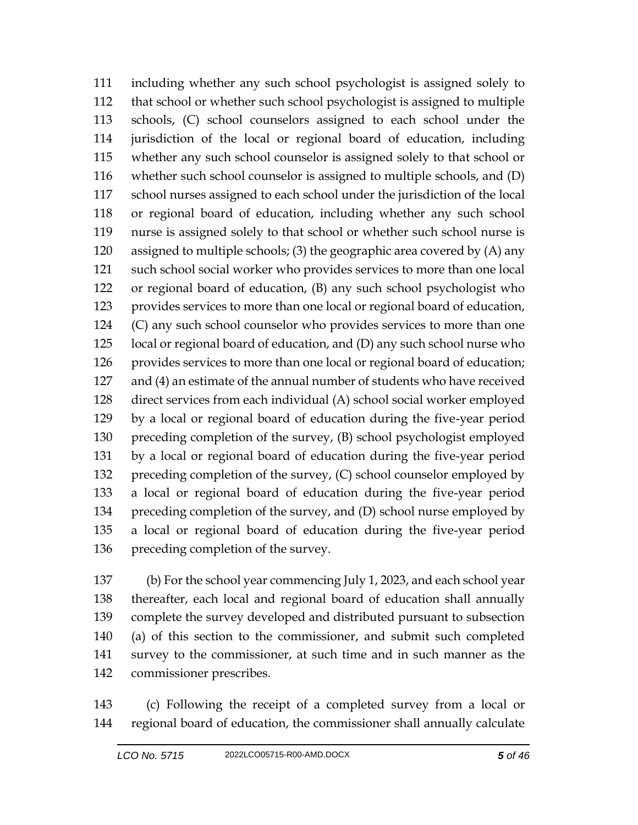including whether any such school psychologist is assigned solely to that school or whether such school psychologist is assigned to multiple schools, (C) school counselors assigned to each school under the jurisdiction of the local or regional board of education, including whether any such school counselor is assigned solely to that school or whether such school counselor is assigned to multiple schools, and (D) school nurses assigned to each school under the jurisdiction of the local or regional board of education, including whether any such school nurse is assigned solely to that school or whether such school nurse is assigned to multiple schools; (3) the geographic area covered by (A) any such school social worker who provides services to more than one local or regional board of education, (B) any such school psychologist who provides services to more than one local or regional board of education, (C) any such school counselor who provides services to more than one local or regional board of education, and (D) any such school nurse who provides services to more than one local or regional board of education; and (4) an estimate of the annual number of students who have received direct services from each individual (A) school social worker employed by a local or regional board of education during the five-year period preceding completion of the survey, (B) school psychologist employed by a local or regional board of education during the five-year period preceding completion of the survey, (C) school counselor employed by a local or regional board of education during the five-year period preceding completion of the survey, and (D) school nurse employed by a local or regional board of education during the five-year period preceding completion of the survey.

 (b) For the school year commencing July 1, 2023, and each school year thereafter, each local and regional board of education shall annually complete the survey developed and distributed pursuant to subsection (a) of this section to the commissioner, and submit such completed survey to the commissioner, at such time and in such manner as the commissioner prescribes.

 (c) Following the receipt of a completed survey from a local or regional board of education, the commissioner shall annually calculate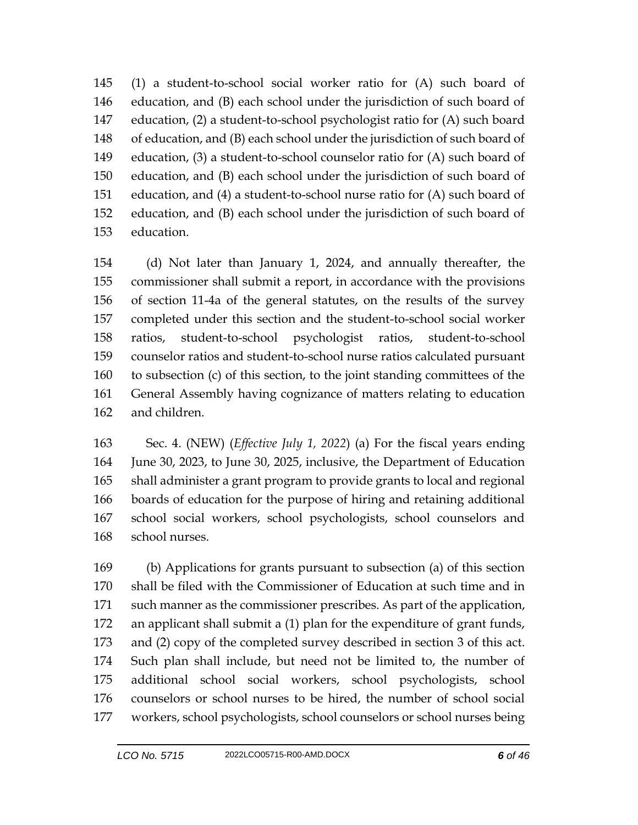(1) a student-to-school social worker ratio for (A) such board of education, and (B) each school under the jurisdiction of such board of education, (2) a student-to-school psychologist ratio for (A) such board of education, and (B) each school under the jurisdiction of such board of education, (3) a student-to-school counselor ratio for (A) such board of education, and (B) each school under the jurisdiction of such board of education, and (4) a student-to-school nurse ratio for (A) such board of education, and (B) each school under the jurisdiction of such board of education.

 (d) Not later than January 1, 2024, and annually thereafter, the commissioner shall submit a report, in accordance with the provisions of section 11-4a of the general statutes, on the results of the survey completed under this section and the student-to-school social worker ratios, student-to-school psychologist ratios, student-to-school counselor ratios and student-to-school nurse ratios calculated pursuant to subsection (c) of this section, to the joint standing committees of the General Assembly having cognizance of matters relating to education and children.

 Sec. 4. (NEW) (*Effective July 1, 2022*) (a) For the fiscal years ending June 30, 2023, to June 30, 2025, inclusive, the Department of Education shall administer a grant program to provide grants to local and regional boards of education for the purpose of hiring and retaining additional school social workers, school psychologists, school counselors and school nurses.

 (b) Applications for grants pursuant to subsection (a) of this section shall be filed with the Commissioner of Education at such time and in such manner as the commissioner prescribes. As part of the application, an applicant shall submit a (1) plan for the expenditure of grant funds, and (2) copy of the completed survey described in section 3 of this act. Such plan shall include, but need not be limited to, the number of additional school social workers, school psychologists, school counselors or school nurses to be hired, the number of school social workers, school psychologists, school counselors or school nurses being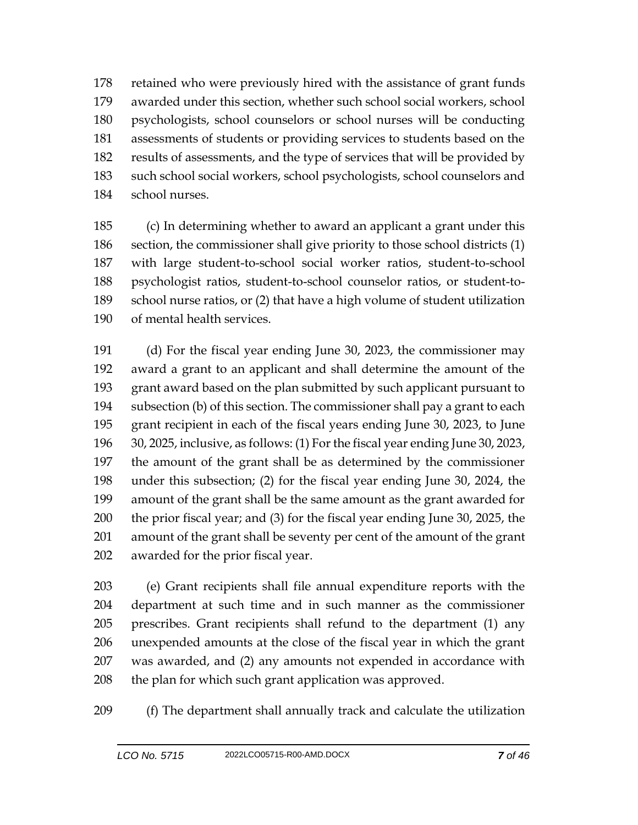retained who were previously hired with the assistance of grant funds awarded under this section, whether such school social workers, school psychologists, school counselors or school nurses will be conducting assessments of students or providing services to students based on the results of assessments, and the type of services that will be provided by such school social workers, school psychologists, school counselors and school nurses.

 (c) In determining whether to award an applicant a grant under this section, the commissioner shall give priority to those school districts (1) with large student-to-school social worker ratios, student-to-school psychologist ratios, student-to-school counselor ratios, or student-to- school nurse ratios, or (2) that have a high volume of student utilization of mental health services.

 (d) For the fiscal year ending June 30, 2023, the commissioner may award a grant to an applicant and shall determine the amount of the grant award based on the plan submitted by such applicant pursuant to subsection (b) of this section. The commissioner shall pay a grant to each grant recipient in each of the fiscal years ending June 30, 2023, to June 30, 2025, inclusive, as follows: (1) For the fiscal year ending June 30, 2023, the amount of the grant shall be as determined by the commissioner under this subsection; (2) for the fiscal year ending June 30, 2024, the amount of the grant shall be the same amount as the grant awarded for the prior fiscal year; and (3) for the fiscal year ending June 30, 2025, the amount of the grant shall be seventy per cent of the amount of the grant awarded for the prior fiscal year.

 (e) Grant recipients shall file annual expenditure reports with the department at such time and in such manner as the commissioner prescribes. Grant recipients shall refund to the department (1) any unexpended amounts at the close of the fiscal year in which the grant was awarded, and (2) any amounts not expended in accordance with the plan for which such grant application was approved.

(f) The department shall annually track and calculate the utilization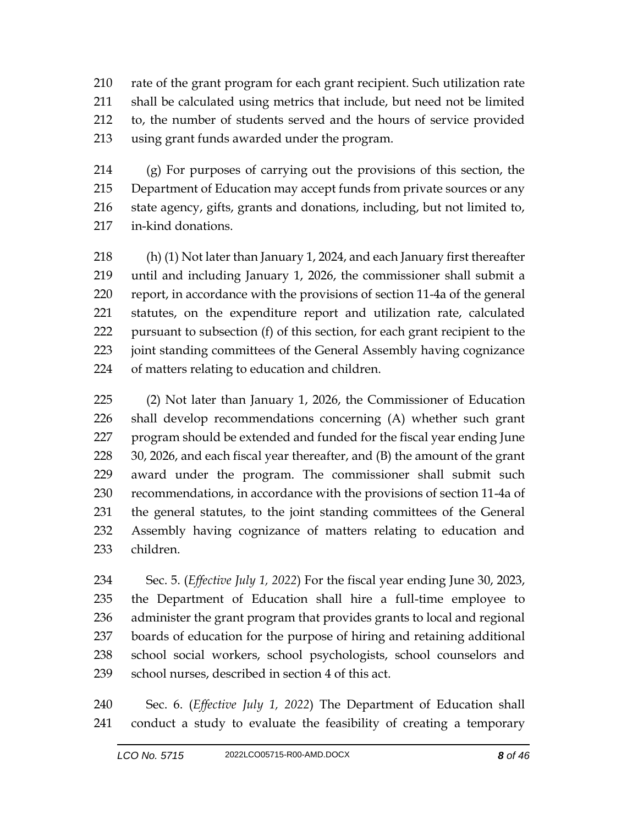rate of the grant program for each grant recipient. Such utilization rate shall be calculated using metrics that include, but need not be limited to, the number of students served and the hours of service provided using grant funds awarded under the program.

 (g) For purposes of carrying out the provisions of this section, the Department of Education may accept funds from private sources or any state agency, gifts, grants and donations, including, but not limited to, in-kind donations.

 (h) (1) Not later than January 1, 2024, and each January first thereafter until and including January 1, 2026, the commissioner shall submit a report, in accordance with the provisions of section 11-4a of the general statutes, on the expenditure report and utilization rate, calculated pursuant to subsection (f) of this section, for each grant recipient to the joint standing committees of the General Assembly having cognizance of matters relating to education and children.

 (2) Not later than January 1, 2026, the Commissioner of Education shall develop recommendations concerning (A) whether such grant program should be extended and funded for the fiscal year ending June 30, 2026, and each fiscal year thereafter, and (B) the amount of the grant award under the program. The commissioner shall submit such recommendations, in accordance with the provisions of section 11-4a of the general statutes, to the joint standing committees of the General Assembly having cognizance of matters relating to education and children.

 Sec. 5. (*Effective July 1, 2022*) For the fiscal year ending June 30, 2023, the Department of Education shall hire a full-time employee to administer the grant program that provides grants to local and regional boards of education for the purpose of hiring and retaining additional school social workers, school psychologists, school counselors and school nurses, described in section 4 of this act.

 Sec. 6. (*Effective July 1, 2022*) The Department of Education shall conduct a study to evaluate the feasibility of creating a temporary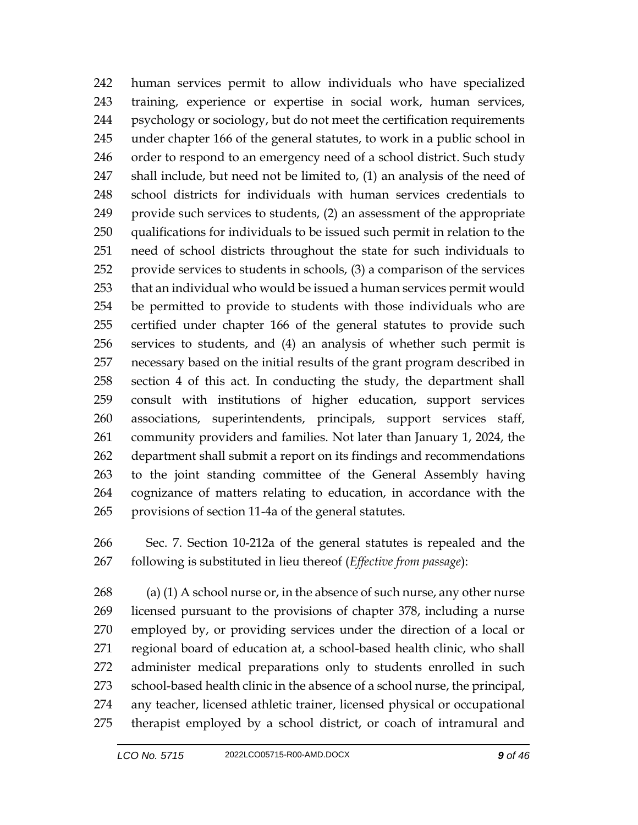human services permit to allow individuals who have specialized training, experience or expertise in social work, human services, psychology or sociology, but do not meet the certification requirements under chapter 166 of the general statutes, to work in a public school in 246 order to respond to an emergency need of a school district. Such study shall include, but need not be limited to, (1) an analysis of the need of school districts for individuals with human services credentials to provide such services to students, (2) an assessment of the appropriate qualifications for individuals to be issued such permit in relation to the need of school districts throughout the state for such individuals to provide services to students in schools, (3) a comparison of the services that an individual who would be issued a human services permit would be permitted to provide to students with those individuals who are certified under chapter 166 of the general statutes to provide such services to students, and (4) an analysis of whether such permit is necessary based on the initial results of the grant program described in section 4 of this act. In conducting the study, the department shall consult with institutions of higher education, support services associations, superintendents, principals, support services staff, community providers and families. Not later than January 1, 2024, the department shall submit a report on its findings and recommendations to the joint standing committee of the General Assembly having cognizance of matters relating to education, in accordance with the provisions of section 11-4a of the general statutes.

 Sec. 7. Section 10-212a of the general statutes is repealed and the following is substituted in lieu thereof (*Effective from passage*):

268 (a) (1) A school nurse or, in the absence of such nurse, any other nurse licensed pursuant to the provisions of chapter 378, including a nurse employed by, or providing services under the direction of a local or regional board of education at, a school-based health clinic, who shall administer medical preparations only to students enrolled in such school-based health clinic in the absence of a school nurse, the principal, any teacher, licensed athletic trainer, licensed physical or occupational therapist employed by a school district, or coach of intramural and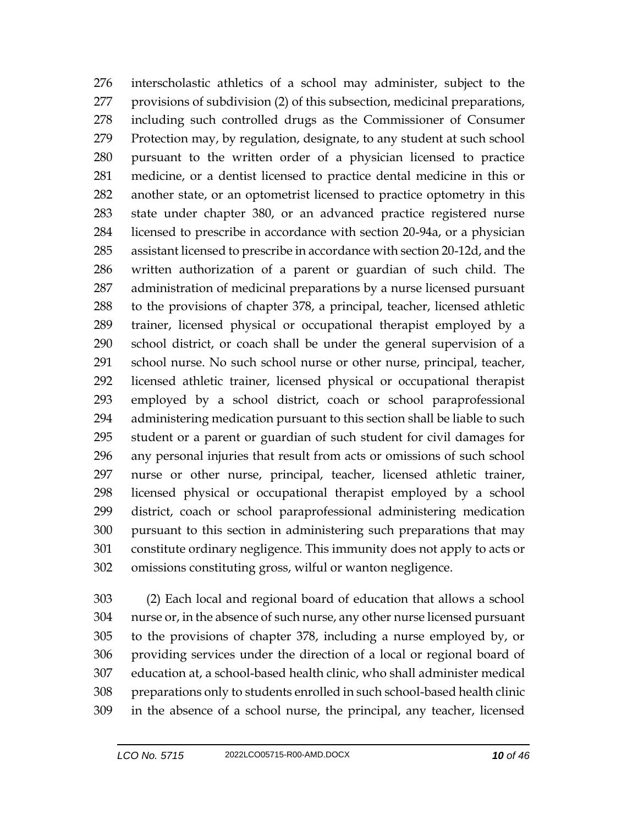interscholastic athletics of a school may administer, subject to the provisions of subdivision (2) of this subsection, medicinal preparations, including such controlled drugs as the Commissioner of Consumer Protection may, by regulation, designate, to any student at such school pursuant to the written order of a physician licensed to practice medicine, or a dentist licensed to practice dental medicine in this or another state, or an optometrist licensed to practice optometry in this state under chapter 380, or an advanced practice registered nurse licensed to prescribe in accordance with section 20-94a, or a physician assistant licensed to prescribe in accordance with section 20-12d, and the written authorization of a parent or guardian of such child. The administration of medicinal preparations by a nurse licensed pursuant to the provisions of chapter 378, a principal, teacher, licensed athletic trainer, licensed physical or occupational therapist employed by a school district, or coach shall be under the general supervision of a school nurse. No such school nurse or other nurse, principal, teacher, licensed athletic trainer, licensed physical or occupational therapist employed by a school district, coach or school paraprofessional administering medication pursuant to this section shall be liable to such student or a parent or guardian of such student for civil damages for any personal injuries that result from acts or omissions of such school nurse or other nurse, principal, teacher, licensed athletic trainer, licensed physical or occupational therapist employed by a school district, coach or school paraprofessional administering medication pursuant to this section in administering such preparations that may constitute ordinary negligence. This immunity does not apply to acts or omissions constituting gross, wilful or wanton negligence.

 (2) Each local and regional board of education that allows a school nurse or, in the absence of such nurse, any other nurse licensed pursuant to the provisions of chapter 378, including a nurse employed by, or providing services under the direction of a local or regional board of education at, a school-based health clinic, who shall administer medical preparations only to students enrolled in such school-based health clinic in the absence of a school nurse, the principal, any teacher, licensed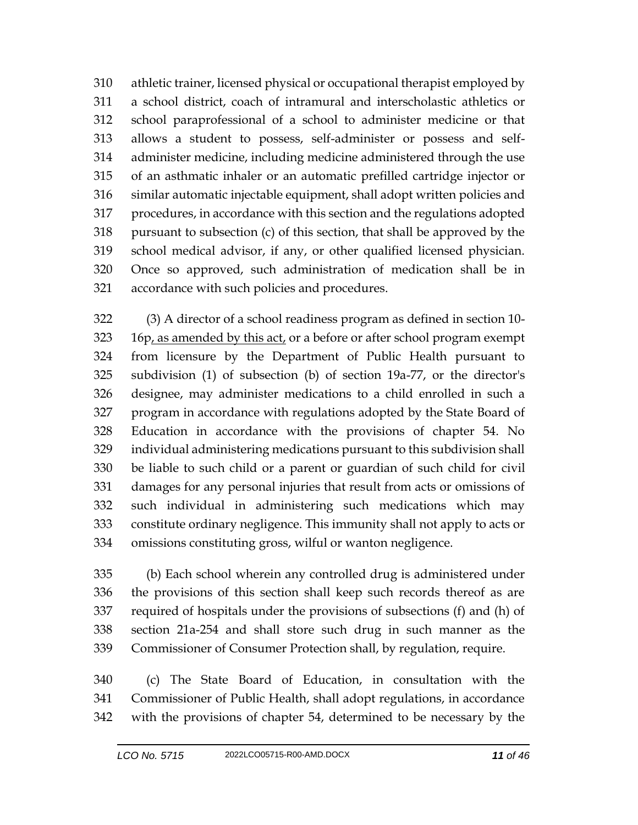athletic trainer, licensed physical or occupational therapist employed by a school district, coach of intramural and interscholastic athletics or school paraprofessional of a school to administer medicine or that allows a student to possess, self-administer or possess and self- administer medicine, including medicine administered through the use of an asthmatic inhaler or an automatic prefilled cartridge injector or similar automatic injectable equipment, shall adopt written policies and procedures, in accordance with this section and the regulations adopted pursuant to subsection (c) of this section, that shall be approved by the school medical advisor, if any, or other qualified licensed physician. Once so approved, such administration of medication shall be in accordance with such policies and procedures.

 (3) A director of a school readiness program as defined in section 10- 323 16p, as amended by this act, or a before or after school program exempt from licensure by the Department of Public Health pursuant to subdivision (1) of subsection (b) of section 19a-77, or the director's designee, may administer medications to a child enrolled in such a program in accordance with regulations adopted by the State Board of Education in accordance with the provisions of chapter 54. No individual administering medications pursuant to this subdivision shall be liable to such child or a parent or guardian of such child for civil damages for any personal injuries that result from acts or omissions of such individual in administering such medications which may constitute ordinary negligence. This immunity shall not apply to acts or omissions constituting gross, wilful or wanton negligence.

 (b) Each school wherein any controlled drug is administered under the provisions of this section shall keep such records thereof as are required of hospitals under the provisions of subsections (f) and (h) of section 21a-254 and shall store such drug in such manner as the Commissioner of Consumer Protection shall, by regulation, require.

 (c) The State Board of Education, in consultation with the Commissioner of Public Health, shall adopt regulations, in accordance with the provisions of chapter 54, determined to be necessary by the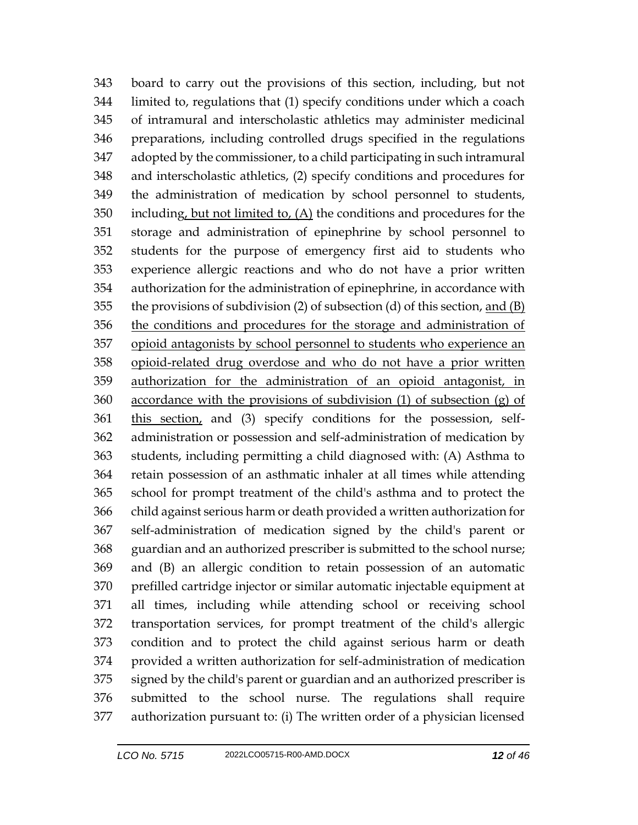board to carry out the provisions of this section, including, but not limited to, regulations that (1) specify conditions under which a coach of intramural and interscholastic athletics may administer medicinal preparations, including controlled drugs specified in the regulations adopted by the commissioner, to a child participating in such intramural and interscholastic athletics, (2) specify conditions and procedures for the administration of medication by school personnel to students, including, but not limited to, (A) the conditions and procedures for the storage and administration of epinephrine by school personnel to students for the purpose of emergency first aid to students who experience allergic reactions and who do not have a prior written authorization for the administration of epinephrine, in accordance with 355 the provisions of subdivision (2) of subsection (d) of this section, and  $(B)$  the conditions and procedures for the storage and administration of opioid antagonists by school personnel to students who experience an opioid-related drug overdose and who do not have a prior written authorization for the administration of an opioid antagonist, in accordance with the provisions of subdivision (1) of subsection (g) of this section, and (3) specify conditions for the possession, self- administration or possession and self-administration of medication by students, including permitting a child diagnosed with: (A) Asthma to retain possession of an asthmatic inhaler at all times while attending school for prompt treatment of the child's asthma and to protect the child against serious harm or death provided a written authorization for self-administration of medication signed by the child's parent or guardian and an authorized prescriber is submitted to the school nurse; and (B) an allergic condition to retain possession of an automatic prefilled cartridge injector or similar automatic injectable equipment at all times, including while attending school or receiving school transportation services, for prompt treatment of the child's allergic condition and to protect the child against serious harm or death provided a written authorization for self-administration of medication signed by the child's parent or guardian and an authorized prescriber is submitted to the school nurse. The regulations shall require authorization pursuant to: (i) The written order of a physician licensed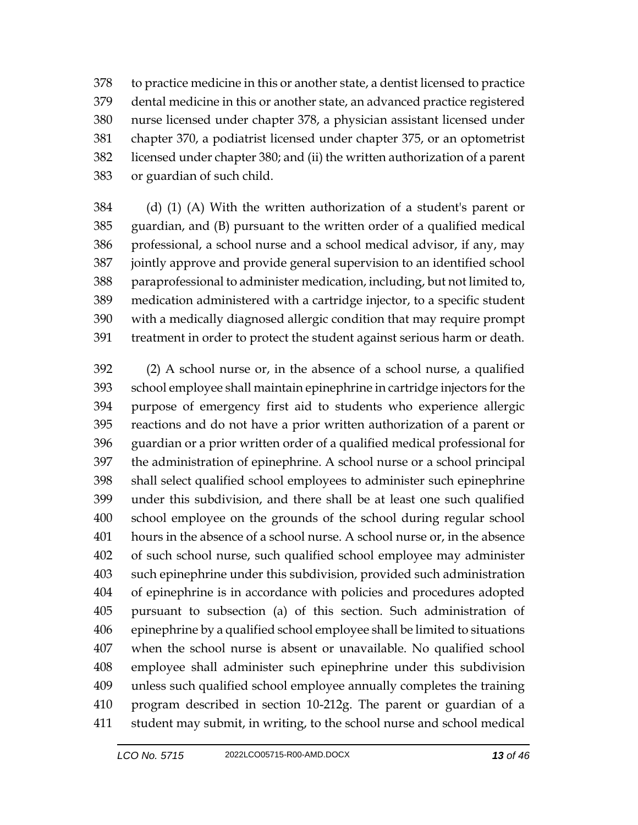to practice medicine in this or another state, a dentist licensed to practice dental medicine in this or another state, an advanced practice registered nurse licensed under chapter 378, a physician assistant licensed under chapter 370, a podiatrist licensed under chapter 375, or an optometrist licensed under chapter 380; and (ii) the written authorization of a parent or guardian of such child.

 (d) (1) (A) With the written authorization of a student's parent or guardian, and (B) pursuant to the written order of a qualified medical professional, a school nurse and a school medical advisor, if any, may jointly approve and provide general supervision to an identified school paraprofessional to administer medication, including, but not limited to, medication administered with a cartridge injector, to a specific student with a medically diagnosed allergic condition that may require prompt treatment in order to protect the student against serious harm or death.

 (2) A school nurse or, in the absence of a school nurse, a qualified school employee shall maintain epinephrine in cartridge injectors for the purpose of emergency first aid to students who experience allergic reactions and do not have a prior written authorization of a parent or guardian or a prior written order of a qualified medical professional for the administration of epinephrine. A school nurse or a school principal shall select qualified school employees to administer such epinephrine under this subdivision, and there shall be at least one such qualified school employee on the grounds of the school during regular school hours in the absence of a school nurse. A school nurse or, in the absence of such school nurse, such qualified school employee may administer such epinephrine under this subdivision, provided such administration of epinephrine is in accordance with policies and procedures adopted pursuant to subsection (a) of this section. Such administration of epinephrine by a qualified school employee shall be limited to situations when the school nurse is absent or unavailable. No qualified school employee shall administer such epinephrine under this subdivision unless such qualified school employee annually completes the training program described in section 10-212g. The parent or guardian of a student may submit, in writing, to the school nurse and school medical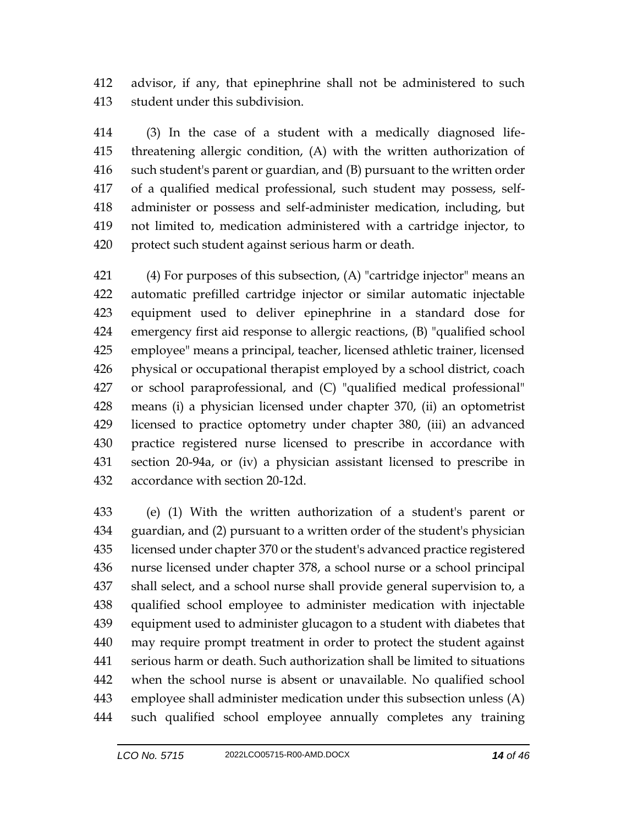advisor, if any, that epinephrine shall not be administered to such student under this subdivision.

 (3) In the case of a student with a medically diagnosed life- threatening allergic condition, (A) with the written authorization of such student's parent or guardian, and (B) pursuant to the written order of a qualified medical professional, such student may possess, self- administer or possess and self-administer medication, including, but not limited to, medication administered with a cartridge injector, to protect such student against serious harm or death.

421 (4) For purposes of this subsection, (A) "cartridge injector" means an automatic prefilled cartridge injector or similar automatic injectable equipment used to deliver epinephrine in a standard dose for emergency first aid response to allergic reactions, (B) "qualified school employee" means a principal, teacher, licensed athletic trainer, licensed physical or occupational therapist employed by a school district, coach or school paraprofessional, and (C) "qualified medical professional" means (i) a physician licensed under chapter 370, (ii) an optometrist licensed to practice optometry under chapter 380, (iii) an advanced practice registered nurse licensed to prescribe in accordance with section 20-94a, or (iv) a physician assistant licensed to prescribe in accordance with section 20-12d.

 (e) (1) With the written authorization of a student's parent or guardian, and (2) pursuant to a written order of the student's physician licensed under chapter 370 or the student's advanced practice registered nurse licensed under chapter 378, a school nurse or a school principal shall select, and a school nurse shall provide general supervision to, a qualified school employee to administer medication with injectable equipment used to administer glucagon to a student with diabetes that may require prompt treatment in order to protect the student against serious harm or death. Such authorization shall be limited to situations when the school nurse is absent or unavailable. No qualified school employee shall administer medication under this subsection unless (A) such qualified school employee annually completes any training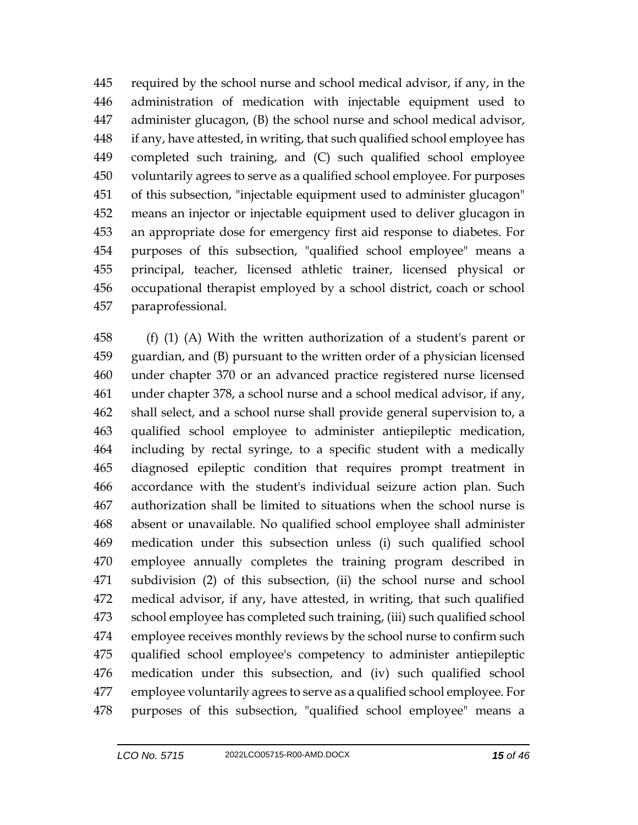required by the school nurse and school medical advisor, if any, in the administration of medication with injectable equipment used to administer glucagon, (B) the school nurse and school medical advisor, if any, have attested, in writing, that such qualified school employee has completed such training, and (C) such qualified school employee voluntarily agrees to serve as a qualified school employee. For purposes of this subsection, "injectable equipment used to administer glucagon" means an injector or injectable equipment used to deliver glucagon in an appropriate dose for emergency first aid response to diabetes. For purposes of this subsection, "qualified school employee" means a principal, teacher, licensed athletic trainer, licensed physical or occupational therapist employed by a school district, coach or school paraprofessional.

 (f) (1) (A) With the written authorization of a student's parent or guardian, and (B) pursuant to the written order of a physician licensed under chapter 370 or an advanced practice registered nurse licensed under chapter 378, a school nurse and a school medical advisor, if any, shall select, and a school nurse shall provide general supervision to, a qualified school employee to administer antiepileptic medication, including by rectal syringe, to a specific student with a medically diagnosed epileptic condition that requires prompt treatment in accordance with the student's individual seizure action plan. Such authorization shall be limited to situations when the school nurse is absent or unavailable. No qualified school employee shall administer medication under this subsection unless (i) such qualified school employee annually completes the training program described in subdivision (2) of this subsection, (ii) the school nurse and school medical advisor, if any, have attested, in writing, that such qualified school employee has completed such training, (iii) such qualified school employee receives monthly reviews by the school nurse to confirm such qualified school employee's competency to administer antiepileptic medication under this subsection, and (iv) such qualified school employee voluntarily agrees to serve as a qualified school employee. For purposes of this subsection, "qualified school employee" means a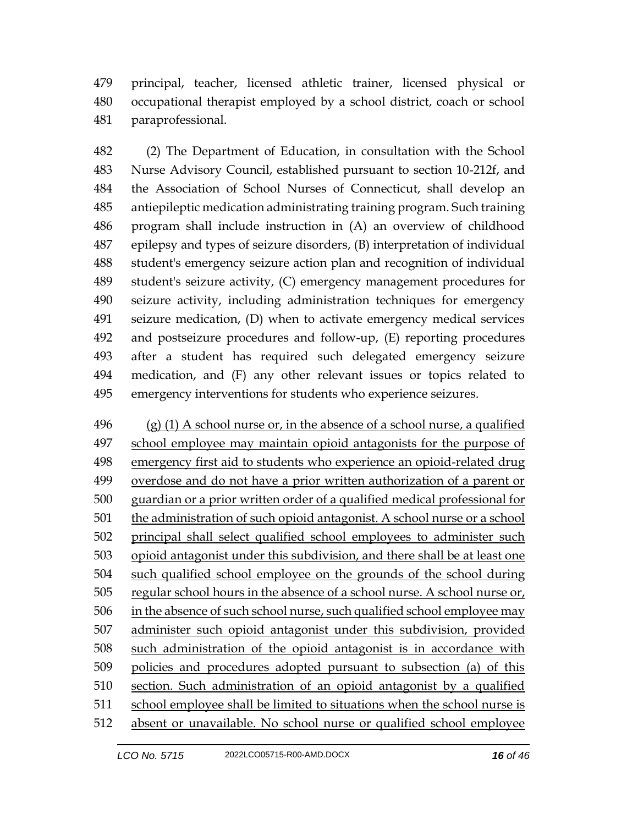principal, teacher, licensed athletic trainer, licensed physical or occupational therapist employed by a school district, coach or school paraprofessional.

 (2) The Department of Education, in consultation with the School Nurse Advisory Council, established pursuant to section 10-212f, and the Association of School Nurses of Connecticut, shall develop an antiepileptic medication administrating training program. Such training program shall include instruction in (A) an overview of childhood epilepsy and types of seizure disorders, (B) interpretation of individual student's emergency seizure action plan and recognition of individual student's seizure activity, (C) emergency management procedures for seizure activity, including administration techniques for emergency seizure medication, (D) when to activate emergency medical services and postseizure procedures and follow-up, (E) reporting procedures after a student has required such delegated emergency seizure medication, and (F) any other relevant issues or topics related to emergency interventions for students who experience seizures.

 (g) (1) A school nurse or, in the absence of a school nurse, a qualified school employee may maintain opioid antagonists for the purpose of emergency first aid to students who experience an opioid-related drug overdose and do not have a prior written authorization of a parent or guardian or a prior written order of a qualified medical professional for the administration of such opioid antagonist. A school nurse or a school principal shall select qualified school employees to administer such opioid antagonist under this subdivision, and there shall be at least one such qualified school employee on the grounds of the school during regular school hours in the absence of a school nurse. A school nurse or, 506 in the absence of such school nurse, such qualified school employee may administer such opioid antagonist under this subdivision, provided such administration of the opioid antagonist is in accordance with policies and procedures adopted pursuant to subsection (a) of this section. Such administration of an opioid antagonist by a qualified 511 school employee shall be limited to situations when the school nurse is absent or unavailable. No school nurse or qualified school employee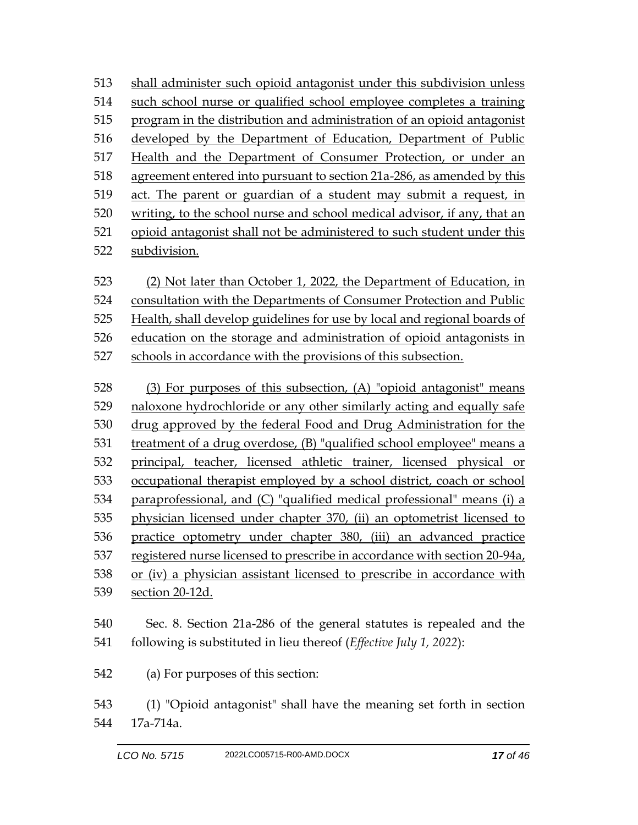shall administer such opioid antagonist under this subdivision unless such school nurse or qualified school employee completes a training program in the distribution and administration of an opioid antagonist developed by the Department of Education, Department of Public Health and the Department of Consumer Protection, or under an agreement entered into pursuant to section 21a-286, as amended by this act. The parent or guardian of a student may submit a request, in writing, to the school nurse and school medical advisor, if any, that an opioid antagonist shall not be administered to such student under this subdivision.

 (2) Not later than October 1, 2022, the Department of Education, in consultation with the Departments of Consumer Protection and Public Health, shall develop guidelines for use by local and regional boards of education on the storage and administration of opioid antagonists in schools in accordance with the provisions of this subsection.

 (3) For purposes of this subsection, (A) "opioid antagonist" means naloxone hydrochloride or any other similarly acting and equally safe drug approved by the federal Food and Drug Administration for the treatment of a drug overdose, (B) "qualified school employee" means a principal, teacher, licensed athletic trainer, licensed physical or occupational therapist employed by a school district, coach or school paraprofessional, and (C) "qualified medical professional" means (i) a physician licensed under chapter 370, (ii) an optometrist licensed to practice optometry under chapter 380, (iii) an advanced practice registered nurse licensed to prescribe in accordance with section 20-94a, or (iv) a physician assistant licensed to prescribe in accordance with section 20-12d.

 Sec. 8. Section 21a-286 of the general statutes is repealed and the following is substituted in lieu thereof (*Effective July 1, 2022*):

(a) For purposes of this section:

 (1) "Opioid antagonist" shall have the meaning set forth in section 17a-714a.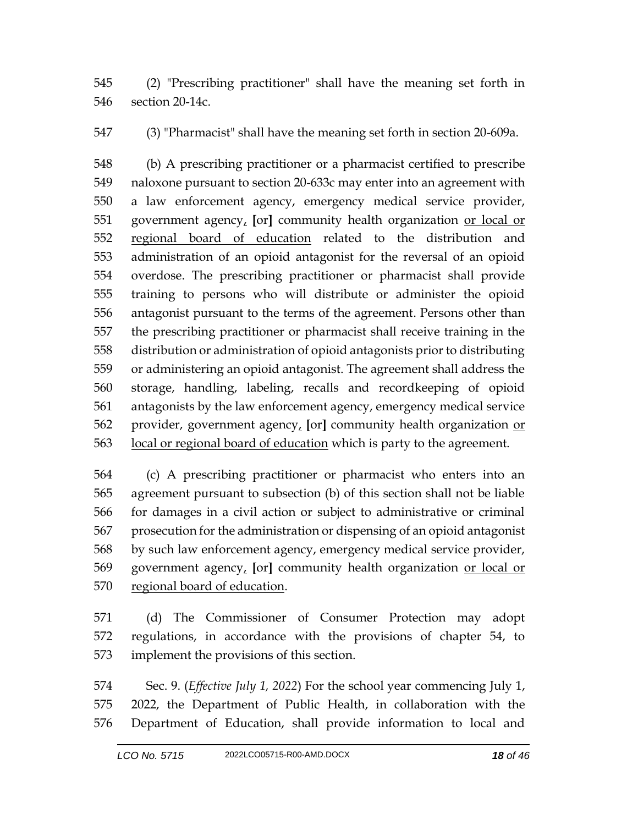(2) "Prescribing practitioner" shall have the meaning set forth in section 20-14c.

(3) "Pharmacist" shall have the meaning set forth in section 20-609a.

 (b) A prescribing practitioner or a pharmacist certified to prescribe naloxone pursuant to section 20-633c may enter into an agreement with a law enforcement agency, emergency medical service provider, government agency, **[**or**]** community health organization or local or regional board of education related to the distribution and administration of an opioid antagonist for the reversal of an opioid overdose. The prescribing practitioner or pharmacist shall provide training to persons who will distribute or administer the opioid antagonist pursuant to the terms of the agreement. Persons other than the prescribing practitioner or pharmacist shall receive training in the distribution or administration of opioid antagonists prior to distributing or administering an opioid antagonist. The agreement shall address the storage, handling, labeling, recalls and recordkeeping of opioid antagonists by the law enforcement agency, emergency medical service provider, government agency, **[**or**]** community health organization or local or regional board of education which is party to the agreement.

 (c) A prescribing practitioner or pharmacist who enters into an agreement pursuant to subsection (b) of this section shall not be liable for damages in a civil action or subject to administrative or criminal prosecution for the administration or dispensing of an opioid antagonist by such law enforcement agency, emergency medical service provider, government agency, **[**or**]** community health organization or local or regional board of education.

 (d) The Commissioner of Consumer Protection may adopt regulations, in accordance with the provisions of chapter 54, to implement the provisions of this section.

 Sec. 9. (*Effective July 1, 2022*) For the school year commencing July 1, 2022, the Department of Public Health, in collaboration with the Department of Education, shall provide information to local and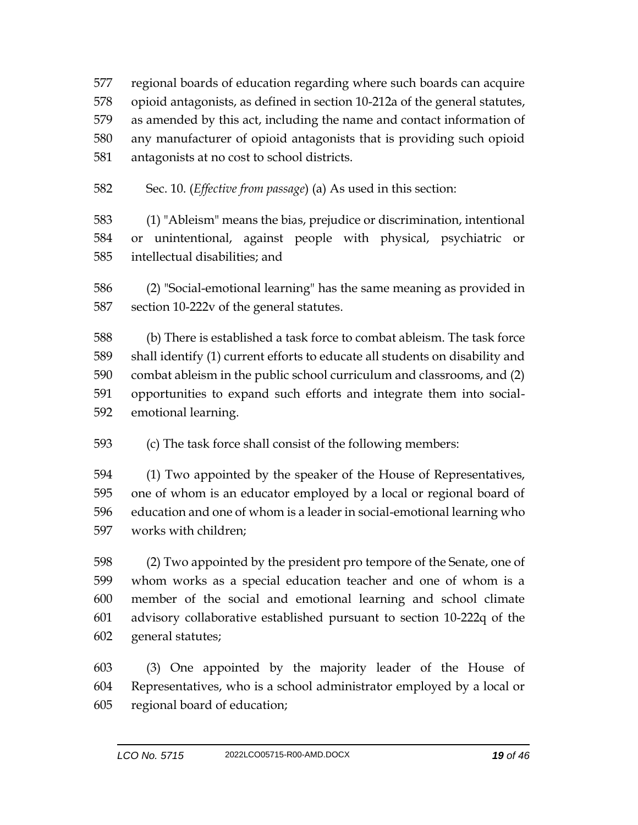regional boards of education regarding where such boards can acquire opioid antagonists, as defined in section 10-212a of the general statutes, as amended by this act, including the name and contact information of any manufacturer of opioid antagonists that is providing such opioid antagonists at no cost to school districts.

Sec. 10. (*Effective from passage*) (a) As used in this section:

 (1) "Ableism" means the bias, prejudice or discrimination, intentional or unintentional, against people with physical, psychiatric or intellectual disabilities; and

 (2) "Social-emotional learning" has the same meaning as provided in section 10-222v of the general statutes.

 (b) There is established a task force to combat ableism. The task force shall identify (1) current efforts to educate all students on disability and combat ableism in the public school curriculum and classrooms, and (2) opportunities to expand such efforts and integrate them into social-emotional learning.

(c) The task force shall consist of the following members:

 (1) Two appointed by the speaker of the House of Representatives, one of whom is an educator employed by a local or regional board of education and one of whom is a leader in social-emotional learning who works with children;

 (2) Two appointed by the president pro tempore of the Senate, one of whom works as a special education teacher and one of whom is a member of the social and emotional learning and school climate advisory collaborative established pursuant to section 10-222q of the general statutes;

 (3) One appointed by the majority leader of the House of Representatives, who is a school administrator employed by a local or regional board of education;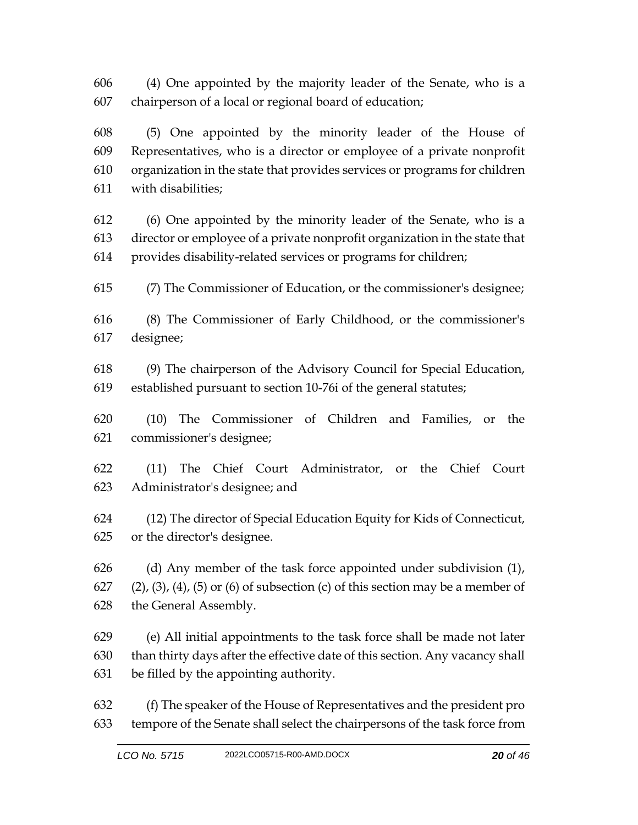(4) One appointed by the majority leader of the Senate, who is a chairperson of a local or regional board of education;

 (5) One appointed by the minority leader of the House of Representatives, who is a director or employee of a private nonprofit organization in the state that provides services or programs for children with disabilities;

 (6) One appointed by the minority leader of the Senate, who is a director or employee of a private nonprofit organization in the state that provides disability-related services or programs for children;

(7) The Commissioner of Education, or the commissioner's designee;

 (8) The Commissioner of Early Childhood, or the commissioner's designee;

 (9) The chairperson of the Advisory Council for Special Education, established pursuant to section 10-76i of the general statutes;

 (10) The Commissioner of Children and Families, or the commissioner's designee;

 (11) The Chief Court Administrator, or the Chief Court Administrator's designee; and

 (12) The director of Special Education Equity for Kids of Connecticut, or the director's designee.

 (d) Any member of the task force appointed under subdivision (1), 627 (2), (3), (4), (5) or (6) of subsection (c) of this section may be a member of the General Assembly.

 (e) All initial appointments to the task force shall be made not later than thirty days after the effective date of this section. Any vacancy shall be filled by the appointing authority.

 (f) The speaker of the House of Representatives and the president pro tempore of the Senate shall select the chairpersons of the task force from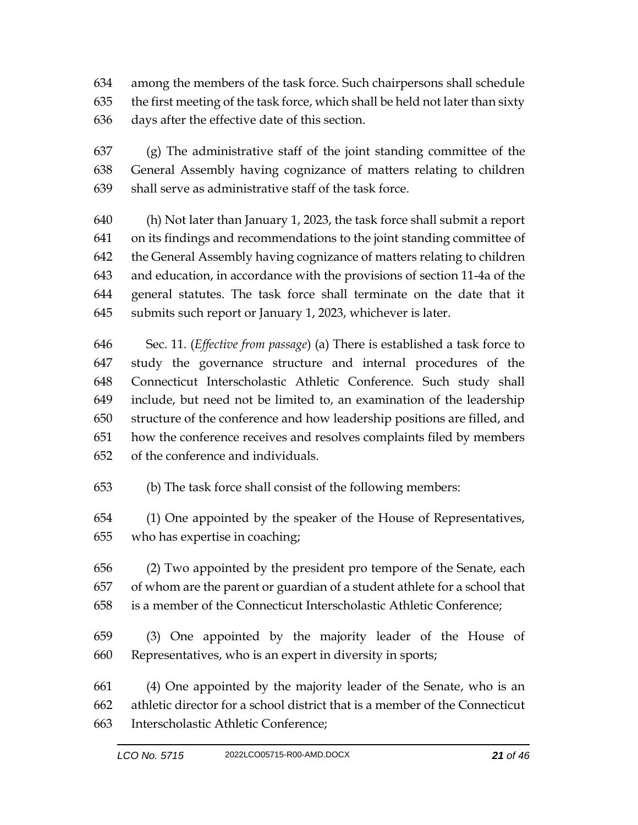among the members of the task force. Such chairpersons shall schedule the first meeting of the task force, which shall be held not later than sixty days after the effective date of this section.

 (g) The administrative staff of the joint standing committee of the General Assembly having cognizance of matters relating to children shall serve as administrative staff of the task force.

 (h) Not later than January 1, 2023, the task force shall submit a report on its findings and recommendations to the joint standing committee of the General Assembly having cognizance of matters relating to children and education, in accordance with the provisions of section 11-4a of the general statutes. The task force shall terminate on the date that it submits such report or January 1, 2023, whichever is later.

 Sec. 11. (*Effective from passage*) (a) There is established a task force to study the governance structure and internal procedures of the Connecticut Interscholastic Athletic Conference. Such study shall include, but need not be limited to, an examination of the leadership structure of the conference and how leadership positions are filled, and how the conference receives and resolves complaints filed by members of the conference and individuals.

(b) The task force shall consist of the following members:

 (1) One appointed by the speaker of the House of Representatives, who has expertise in coaching;

 (2) Two appointed by the president pro tempore of the Senate, each of whom are the parent or guardian of a student athlete for a school that is a member of the Connecticut Interscholastic Athletic Conference;

 (3) One appointed by the majority leader of the House of Representatives, who is an expert in diversity in sports;

 (4) One appointed by the majority leader of the Senate, who is an athletic director for a school district that is a member of the Connecticut Interscholastic Athletic Conference;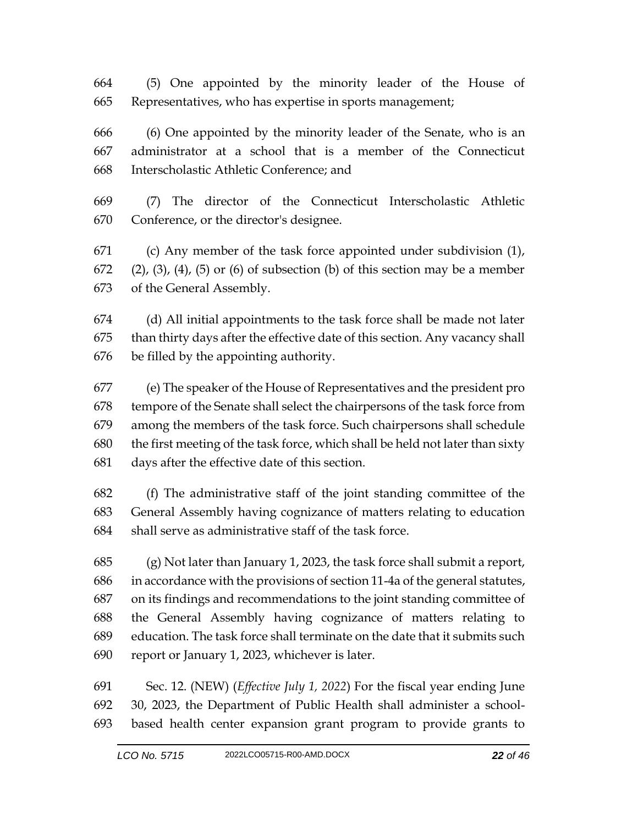(5) One appointed by the minority leader of the House of Representatives, who has expertise in sports management;

 (6) One appointed by the minority leader of the Senate, who is an administrator at a school that is a member of the Connecticut Interscholastic Athletic Conference; and

 (7) The director of the Connecticut Interscholastic Athletic Conference, or the director's designee.

 (c) Any member of the task force appointed under subdivision (1), (2), (3), (4), (5) or (6) of subsection (b) of this section may be a member of the General Assembly.

 (d) All initial appointments to the task force shall be made not later than thirty days after the effective date of this section. Any vacancy shall be filled by the appointing authority.

 (e) The speaker of the House of Representatives and the president pro tempore of the Senate shall select the chairpersons of the task force from among the members of the task force. Such chairpersons shall schedule the first meeting of the task force, which shall be held not later than sixty days after the effective date of this section.

 (f) The administrative staff of the joint standing committee of the General Assembly having cognizance of matters relating to education shall serve as administrative staff of the task force.

 (g) Not later than January 1, 2023, the task force shall submit a report, in accordance with the provisions of section 11-4a of the general statutes, on its findings and recommendations to the joint standing committee of the General Assembly having cognizance of matters relating to education. The task force shall terminate on the date that it submits such report or January 1, 2023, whichever is later.

 Sec. 12. (NEW) (*Effective July 1, 2022*) For the fiscal year ending June 30, 2023, the Department of Public Health shall administer a school-based health center expansion grant program to provide grants to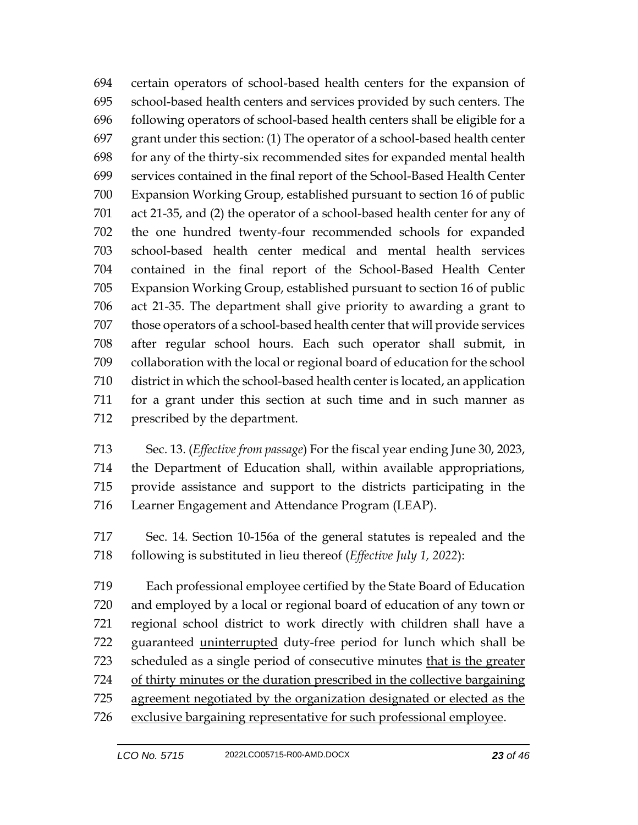certain operators of school-based health centers for the expansion of school-based health centers and services provided by such centers. The following operators of school-based health centers shall be eligible for a grant under this section: (1) The operator of a school-based health center for any of the thirty-six recommended sites for expanded mental health services contained in the final report of the School-Based Health Center Expansion Working Group, established pursuant to section 16 of public act 21-35, and (2) the operator of a school-based health center for any of the one hundred twenty-four recommended schools for expanded school-based health center medical and mental health services contained in the final report of the School-Based Health Center Expansion Working Group, established pursuant to section 16 of public act 21-35. The department shall give priority to awarding a grant to 707 those operators of a school-based health center that will provide services after regular school hours. Each such operator shall submit, in collaboration with the local or regional board of education for the school district in which the school-based health center is located, an application for a grant under this section at such time and in such manner as prescribed by the department.

 Sec. 13. (*Effective from passage*) For the fiscal year ending June 30, 2023, the Department of Education shall, within available appropriations, provide assistance and support to the districts participating in the Learner Engagement and Attendance Program (LEAP).

 Sec. 14. Section 10-156a of the general statutes is repealed and the following is substituted in lieu thereof (*Effective July 1, 2022*):

 Each professional employee certified by the State Board of Education and employed by a local or regional board of education of any town or regional school district to work directly with children shall have a guaranteed uninterrupted duty-free period for lunch which shall be 723 scheduled as a single period of consecutive minutes that is the greater of thirty minutes or the duration prescribed in the collective bargaining 725 agreement negotiated by the organization designated or elected as the exclusive bargaining representative for such professional employee.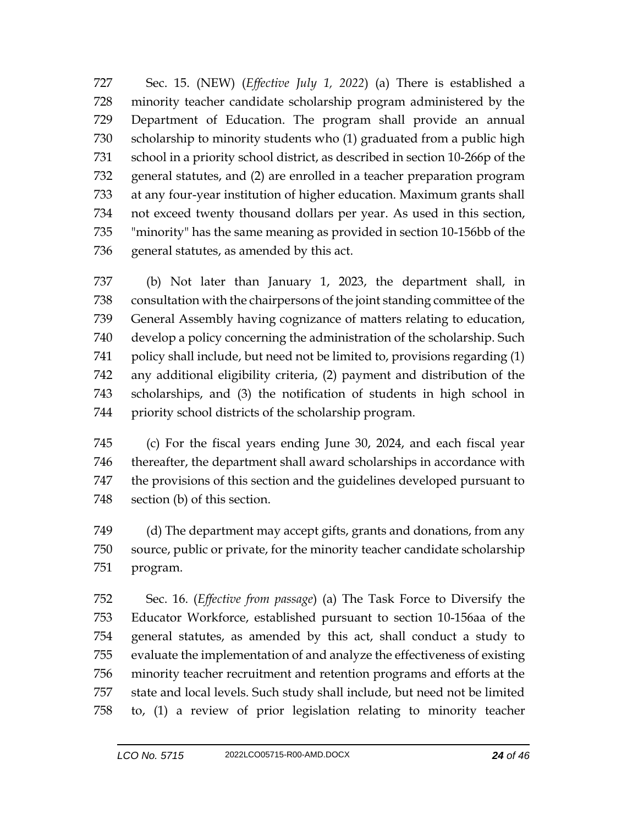Sec. 15. (NEW) (*Effective July 1, 2022*) (a) There is established a minority teacher candidate scholarship program administered by the Department of Education. The program shall provide an annual scholarship to minority students who (1) graduated from a public high school in a priority school district, as described in section 10-266p of the general statutes, and (2) are enrolled in a teacher preparation program at any four-year institution of higher education. Maximum grants shall not exceed twenty thousand dollars per year. As used in this section, "minority" has the same meaning as provided in section 10-156bb of the general statutes, as amended by this act.

 (b) Not later than January 1, 2023, the department shall, in consultation with the chairpersons of the joint standing committee of the General Assembly having cognizance of matters relating to education, develop a policy concerning the administration of the scholarship. Such policy shall include, but need not be limited to, provisions regarding (1) any additional eligibility criteria, (2) payment and distribution of the scholarships, and (3) the notification of students in high school in priority school districts of the scholarship program.

 (c) For the fiscal years ending June 30, 2024, and each fiscal year thereafter, the department shall award scholarships in accordance with the provisions of this section and the guidelines developed pursuant to section (b) of this section.

 (d) The department may accept gifts, grants and donations, from any source, public or private, for the minority teacher candidate scholarship program.

 Sec. 16. (*Effective from passage*) (a) The Task Force to Diversify the Educator Workforce, established pursuant to section 10-156aa of the general statutes, as amended by this act, shall conduct a study to evaluate the implementation of and analyze the effectiveness of existing minority teacher recruitment and retention programs and efforts at the state and local levels. Such study shall include, but need not be limited to, (1) a review of prior legislation relating to minority teacher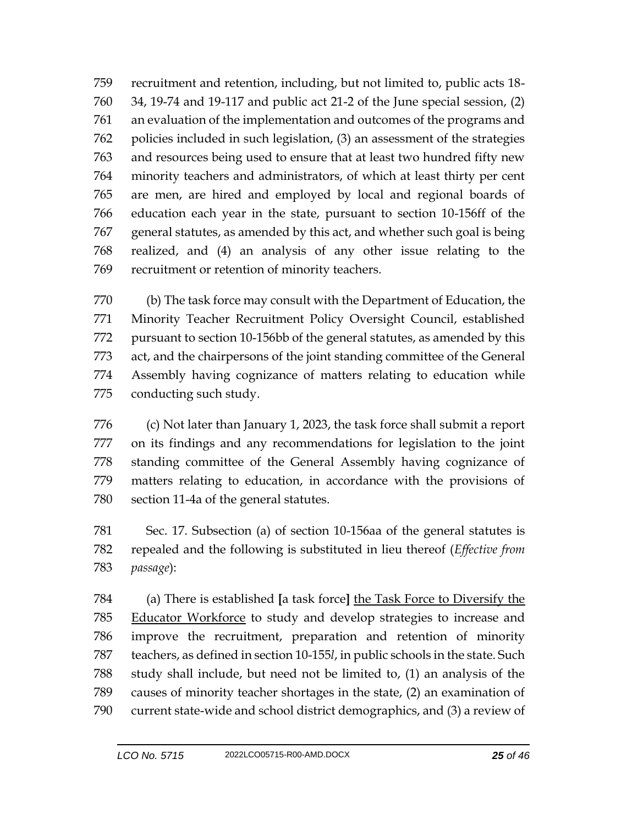recruitment and retention, including, but not limited to, public acts 18- 34, 19-74 and 19-117 and public act 21-2 of the June special session, (2) an evaluation of the implementation and outcomes of the programs and policies included in such legislation, (3) an assessment of the strategies and resources being used to ensure that at least two hundred fifty new minority teachers and administrators, of which at least thirty per cent are men, are hired and employed by local and regional boards of education each year in the state, pursuant to section 10-156ff of the general statutes, as amended by this act, and whether such goal is being realized, and (4) an analysis of any other issue relating to the recruitment or retention of minority teachers.

 (b) The task force may consult with the Department of Education, the Minority Teacher Recruitment Policy Oversight Council, established pursuant to section 10-156bb of the general statutes, as amended by this act, and the chairpersons of the joint standing committee of the General Assembly having cognizance of matters relating to education while conducting such study.

 (c) Not later than January 1, 2023, the task force shall submit a report on its findings and any recommendations for legislation to the joint standing committee of the General Assembly having cognizance of matters relating to education, in accordance with the provisions of section 11-4a of the general statutes.

 Sec. 17. Subsection (a) of section 10-156aa of the general statutes is repealed and the following is substituted in lieu thereof (*Effective from passage*):

 (a) There is established **[**a task force**]** the Task Force to Diversify the Educator Workforce to study and develop strategies to increase and improve the recruitment, preparation and retention of minority teachers, as defined in section 10-155*l*, in public schools in the state. Such study shall include, but need not be limited to, (1) an analysis of the causes of minority teacher shortages in the state, (2) an examination of current state-wide and school district demographics, and (3) a review of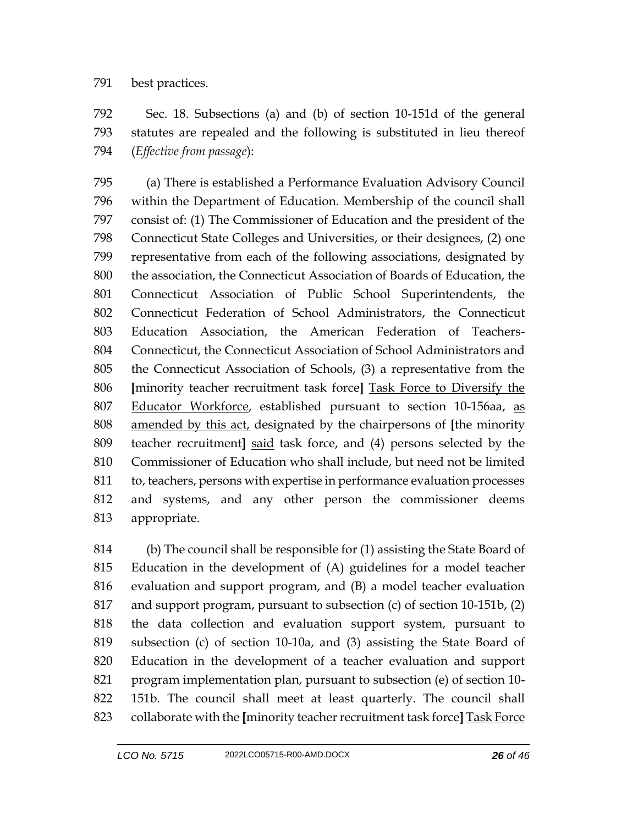## best practices.

 Sec. 18. Subsections (a) and (b) of section 10-151d of the general statutes are repealed and the following is substituted in lieu thereof (*Effective from passage*):

 (a) There is established a Performance Evaluation Advisory Council within the Department of Education. Membership of the council shall consist of: (1) The Commissioner of Education and the president of the Connecticut State Colleges and Universities, or their designees, (2) one representative from each of the following associations, designated by the association, the Connecticut Association of Boards of Education, the Connecticut Association of Public School Superintendents, the Connecticut Federation of School Administrators, the Connecticut Education Association, the American Federation of Teachers- Connecticut, the Connecticut Association of School Administrators and the Connecticut Association of Schools, (3) a representative from the **[**minority teacher recruitment task force**]** Task Force to Diversify the 807 Educator Workforce, established pursuant to section 10-156aa, as amended by this act, designated by the chairpersons of **[**the minority teacher recruitment**]** said task force, and (4) persons selected by the Commissioner of Education who shall include, but need not be limited to, teachers, persons with expertise in performance evaluation processes and systems, and any other person the commissioner deems appropriate.

 (b) The council shall be responsible for (1) assisting the State Board of Education in the development of (A) guidelines for a model teacher evaluation and support program, and (B) a model teacher evaluation and support program, pursuant to subsection (c) of section 10-151b, (2) the data collection and evaluation support system, pursuant to subsection (c) of section 10-10a, and (3) assisting the State Board of Education in the development of a teacher evaluation and support program implementation plan, pursuant to subsection (e) of section 10- 151b. The council shall meet at least quarterly. The council shall collaborate with the **[**minority teacher recruitment task force**]** Task Force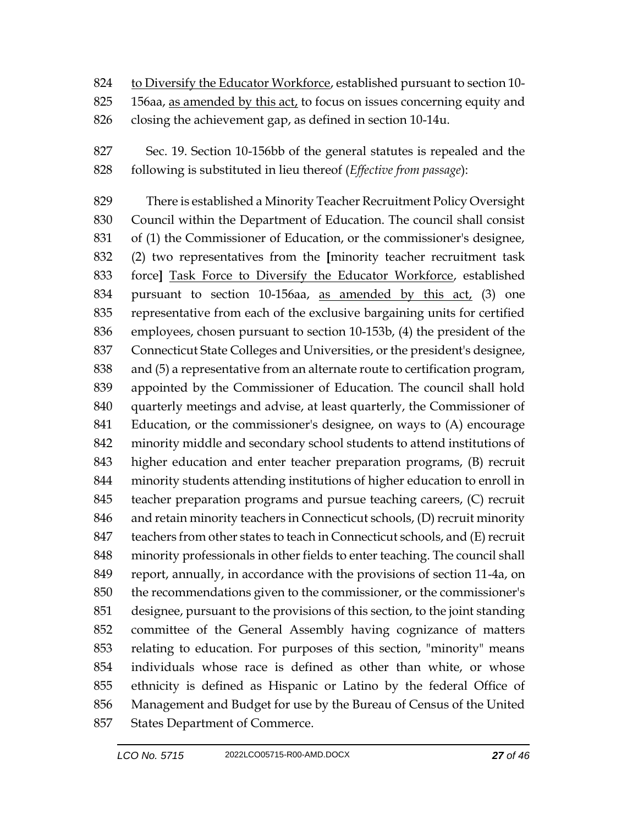- to Diversify the Educator Workforce, established pursuant to section 10-
- 825 156aa, as amended by this act, to focus on issues concerning equity and
- closing the achievement gap, as defined in section 10-14u.
- Sec. 19. Section 10-156bb of the general statutes is repealed and the following is substituted in lieu thereof (*Effective from passage*):

 There is established a Minority Teacher Recruitment Policy Oversight Council within the Department of Education. The council shall consist of (1) the Commissioner of Education, or the commissioner's designee, (2) two representatives from the **[**minority teacher recruitment task force**]** Task Force to Diversify the Educator Workforce, established pursuant to section 10-156aa, as amended by this act, (3) one representative from each of the exclusive bargaining units for certified employees, chosen pursuant to section 10-153b, (4) the president of the Connecticut State Colleges and Universities, or the president's designee, and (5) a representative from an alternate route to certification program, appointed by the Commissioner of Education. The council shall hold quarterly meetings and advise, at least quarterly, the Commissioner of Education, or the commissioner's designee, on ways to (A) encourage minority middle and secondary school students to attend institutions of higher education and enter teacher preparation programs, (B) recruit minority students attending institutions of higher education to enroll in teacher preparation programs and pursue teaching careers, (C) recruit and retain minority teachers in Connecticut schools, (D) recruit minority 847 teachers from other states to teach in Connecticut schools, and (E) recruit minority professionals in other fields to enter teaching. The council shall report, annually, in accordance with the provisions of section 11-4a, on the recommendations given to the commissioner, or the commissioner's designee, pursuant to the provisions of this section, to the joint standing committee of the General Assembly having cognizance of matters relating to education. For purposes of this section, "minority" means individuals whose race is defined as other than white, or whose ethnicity is defined as Hispanic or Latino by the federal Office of Management and Budget for use by the Bureau of Census of the United States Department of Commerce.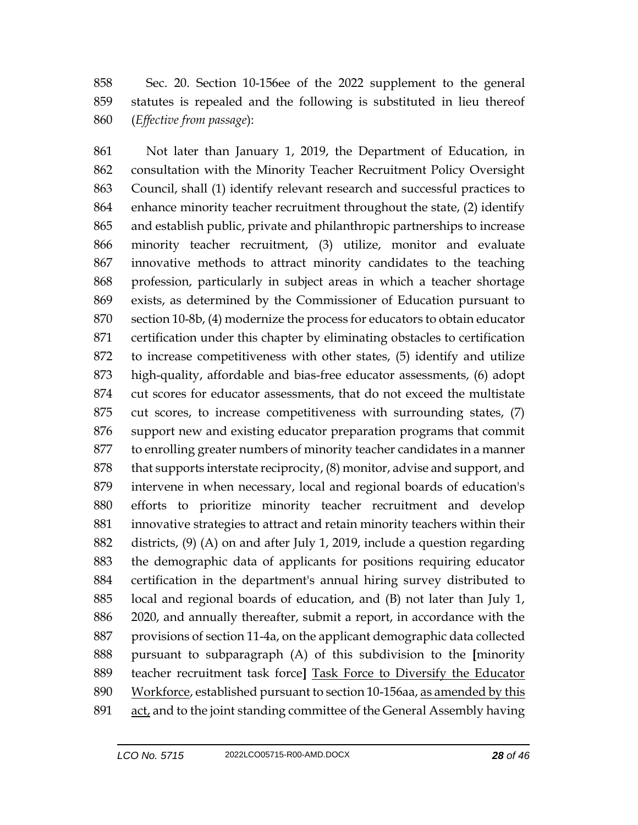Sec. 20. Section 10-156ee of the 2022 supplement to the general statutes is repealed and the following is substituted in lieu thereof (*Effective from passage*):

 Not later than January 1, 2019, the Department of Education, in consultation with the Minority Teacher Recruitment Policy Oversight Council, shall (1) identify relevant research and successful practices to enhance minority teacher recruitment throughout the state, (2) identify and establish public, private and philanthropic partnerships to increase minority teacher recruitment, (3) utilize, monitor and evaluate innovative methods to attract minority candidates to the teaching profession, particularly in subject areas in which a teacher shortage exists, as determined by the Commissioner of Education pursuant to section 10-8b, (4) modernize the process for educators to obtain educator certification under this chapter by eliminating obstacles to certification to increase competitiveness with other states, (5) identify and utilize high-quality, affordable and bias-free educator assessments, (6) adopt cut scores for educator assessments, that do not exceed the multistate cut scores, to increase competitiveness with surrounding states, (7) support new and existing educator preparation programs that commit to enrolling greater numbers of minority teacher candidates in a manner 878 that supports interstate reciprocity, (8) monitor, advise and support, and intervene in when necessary, local and regional boards of education's efforts to prioritize minority teacher recruitment and develop innovative strategies to attract and retain minority teachers within their districts, (9) (A) on and after July 1, 2019, include a question regarding the demographic data of applicants for positions requiring educator certification in the department's annual hiring survey distributed to local and regional boards of education, and (B) not later than July 1, 2020, and annually thereafter, submit a report, in accordance with the provisions of section 11-4a, on the applicant demographic data collected pursuant to subparagraph (A) of this subdivision to the **[**minority teacher recruitment task force**]** Task Force to Diversify the Educator 890 Workforce, established pursuant to section 10-156aa, as amended by this act, and to the joint standing committee of the General Assembly having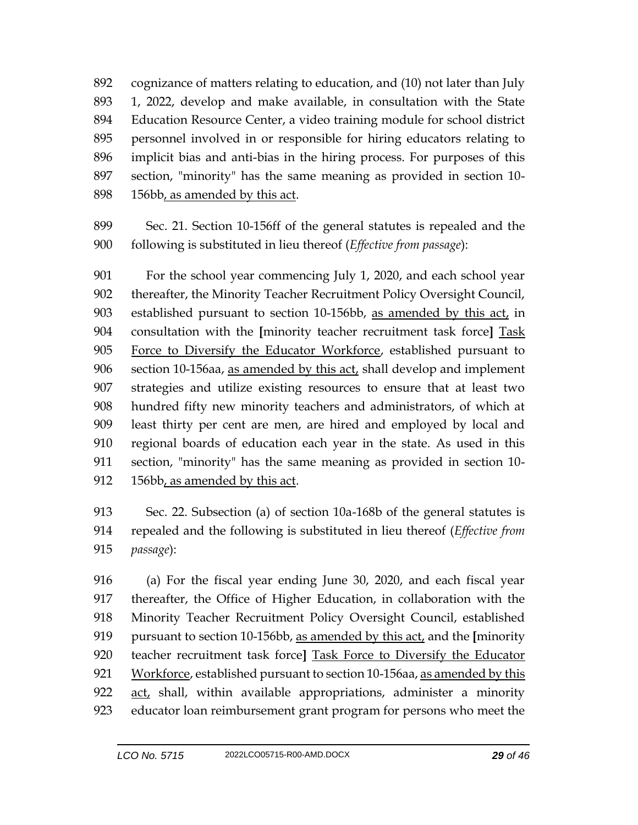cognizance of matters relating to education, and (10) not later than July 1, 2022, develop and make available, in consultation with the State Education Resource Center, a video training module for school district personnel involved in or responsible for hiring educators relating to implicit bias and anti-bias in the hiring process. For purposes of this section, "minority" has the same meaning as provided in section 10- 156bb, as amended by this act.

 Sec. 21. Section 10-156ff of the general statutes is repealed and the following is substituted in lieu thereof (*Effective from passage*):

 For the school year commencing July 1, 2020, and each school year thereafter, the Minority Teacher Recruitment Policy Oversight Council, established pursuant to section 10-156bb, as amended by this act, in consultation with the **[**minority teacher recruitment task force**]** Task 905 Force to Diversify the Educator Workforce, established pursuant to 906 section 10-156aa, as amended by this act, shall develop and implement strategies and utilize existing resources to ensure that at least two hundred fifty new minority teachers and administrators, of which at least thirty per cent are men, are hired and employed by local and regional boards of education each year in the state. As used in this section, "minority" has the same meaning as provided in section 10- 912 156bb, as amended by this act.

 Sec. 22. Subsection (a) of section 10a-168b of the general statutes is repealed and the following is substituted in lieu thereof (*Effective from passage*):

 (a) For the fiscal year ending June 30, 2020, and each fiscal year thereafter, the Office of Higher Education, in collaboration with the Minority Teacher Recruitment Policy Oversight Council, established pursuant to section 10-156bb, as amended by this act, and the **[**minority teacher recruitment task force**]** Task Force to Diversify the Educator 921 Workforce, established pursuant to section 10-156aa, as amended by this  $act<sub>t</sub>$  shall, within available appropriations, administer a minority educator loan reimbursement grant program for persons who meet the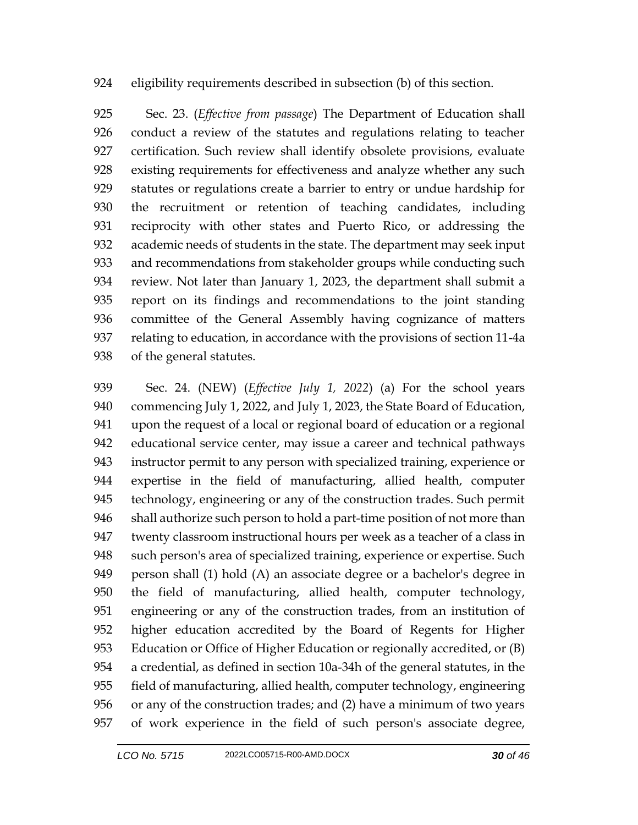## eligibility requirements described in subsection (b) of this section.

 Sec. 23. (*Effective from passage*) The Department of Education shall conduct a review of the statutes and regulations relating to teacher certification. Such review shall identify obsolete provisions, evaluate existing requirements for effectiveness and analyze whether any such statutes or regulations create a barrier to entry or undue hardship for the recruitment or retention of teaching candidates, including reciprocity with other states and Puerto Rico, or addressing the academic needs of students in the state. The department may seek input and recommendations from stakeholder groups while conducting such review. Not later than January 1, 2023, the department shall submit a report on its findings and recommendations to the joint standing committee of the General Assembly having cognizance of matters relating to education, in accordance with the provisions of section 11-4a of the general statutes.

 Sec. 24. (NEW) (*Effective July 1, 2022*) (a) For the school years commencing July 1, 2022, and July 1, 2023, the State Board of Education, upon the request of a local or regional board of education or a regional educational service center, may issue a career and technical pathways instructor permit to any person with specialized training, experience or expertise in the field of manufacturing, allied health, computer technology, engineering or any of the construction trades. Such permit shall authorize such person to hold a part-time position of not more than twenty classroom instructional hours per week as a teacher of a class in such person's area of specialized training, experience or expertise. Such person shall (1) hold (A) an associate degree or a bachelor's degree in the field of manufacturing, allied health, computer technology, engineering or any of the construction trades, from an institution of higher education accredited by the Board of Regents for Higher Education or Office of Higher Education or regionally accredited, or (B) a credential, as defined in section 10a-34h of the general statutes, in the field of manufacturing, allied health, computer technology, engineering or any of the construction trades; and (2) have a minimum of two years of work experience in the field of such person's associate degree,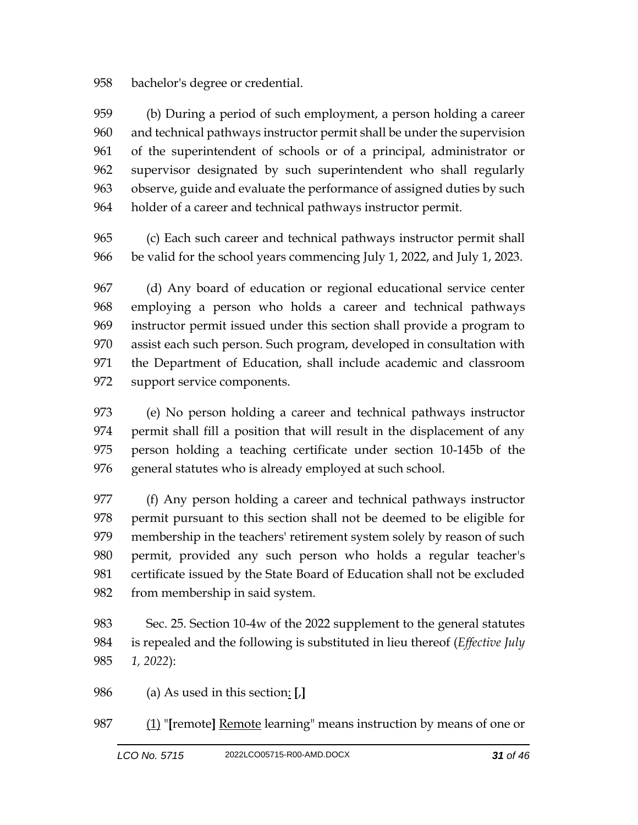bachelor's degree or credential.

 (b) During a period of such employment, a person holding a career and technical pathways instructor permit shall be under the supervision of the superintendent of schools or of a principal, administrator or supervisor designated by such superintendent who shall regularly observe, guide and evaluate the performance of assigned duties by such holder of a career and technical pathways instructor permit.

 (c) Each such career and technical pathways instructor permit shall be valid for the school years commencing July 1, 2022, and July 1, 2023.

 (d) Any board of education or regional educational service center employing a person who holds a career and technical pathways instructor permit issued under this section shall provide a program to assist each such person. Such program, developed in consultation with the Department of Education, shall include academic and classroom support service components.

 (e) No person holding a career and technical pathways instructor permit shall fill a position that will result in the displacement of any person holding a teaching certificate under section 10-145b of the general statutes who is already employed at such school.

 (f) Any person holding a career and technical pathways instructor permit pursuant to this section shall not be deemed to be eligible for membership in the teachers' retirement system solely by reason of such permit, provided any such person who holds a regular teacher's certificate issued by the State Board of Education shall not be excluded from membership in said system.

 Sec. 25. Section 10-4w of the 2022 supplement to the general statutes is repealed and the following is substituted in lieu thereof (*Effective July 1, 2022*):

(a) As used in this section: **[**,**]**

(1) "**[**remote**]** Remote learning" means instruction by means of one or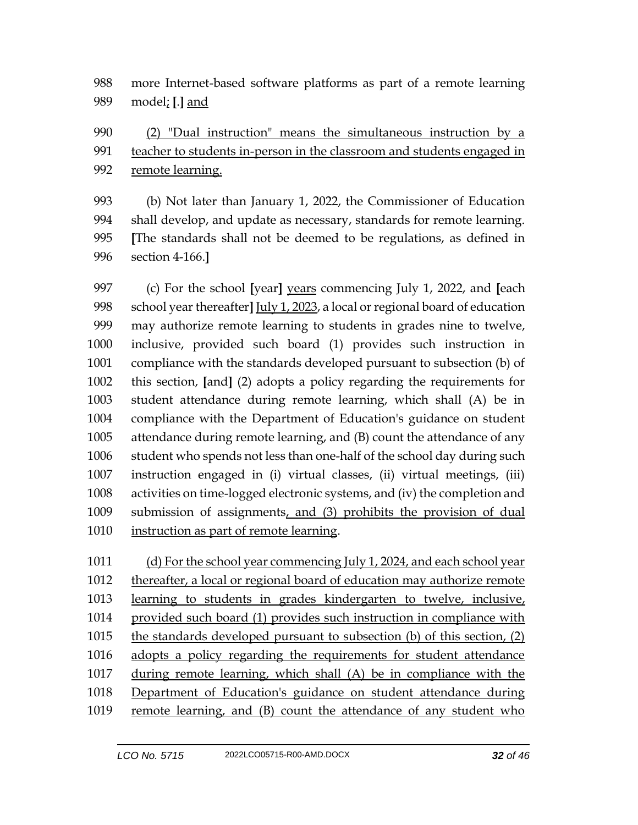more Internet-based software platforms as part of a remote learning model; **[**.**]** and

 (2) "Dual instruction" means the simultaneous instruction by a teacher to students in-person in the classroom and students engaged in remote learning.

 (b) Not later than January 1, 2022, the Commissioner of Education shall develop, and update as necessary, standards for remote learning. **[**The standards shall not be deemed to be regulations, as defined in section 4-166.**]**

 (c) For the school **[**year**]** years commencing July 1, 2022, and **[**each school year thereafter**]** July 1, 2023, a local or regional board of education may authorize remote learning to students in grades nine to twelve, inclusive, provided such board (1) provides such instruction in compliance with the standards developed pursuant to subsection (b) of this section, **[**and**]** (2) adopts a policy regarding the requirements for student attendance during remote learning, which shall (A) be in compliance with the Department of Education's guidance on student attendance during remote learning, and (B) count the attendance of any student who spends not less than one-half of the school day during such instruction engaged in (i) virtual classes, (ii) virtual meetings, (iii) activities on time-logged electronic systems, and (iv) the completion and submission of assignments, and (3) prohibits the provision of dual instruction as part of remote learning.

 (d) For the school year commencing July 1, 2024, and each school year thereafter, a local or regional board of education may authorize remote learning to students in grades kindergarten to twelve, inclusive, provided such board (1) provides such instruction in compliance with the standards developed pursuant to subsection (b) of this section, (2) adopts a policy regarding the requirements for student attendance during remote learning, which shall (A) be in compliance with the Department of Education's guidance on student attendance during remote learning, and (B) count the attendance of any student who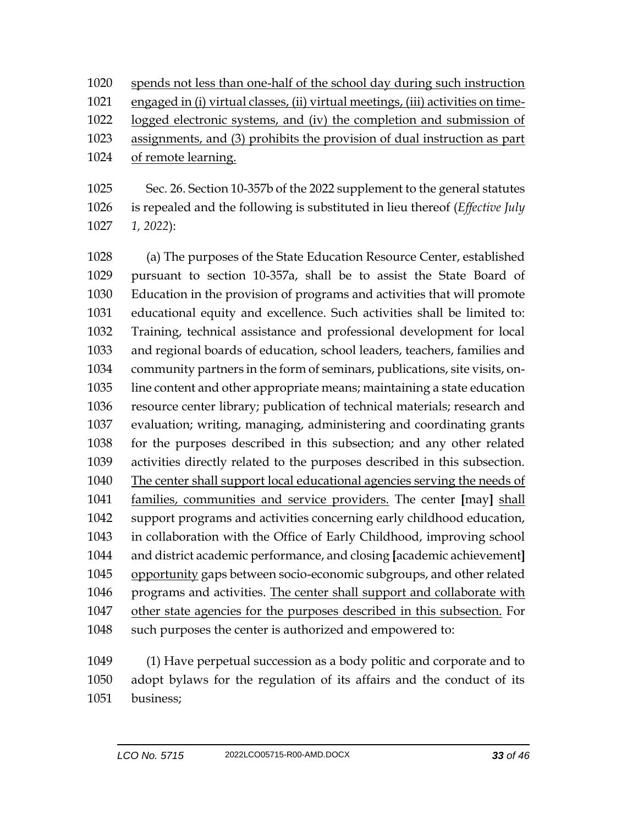spends not less than one-half of the school day during such instruction engaged in (i) virtual classes, (ii) virtual meetings, (iii) activities on time-

logged electronic systems, and (iv) the completion and submission of

- assignments, and (3) prohibits the provision of dual instruction as part
- of remote learning.

 Sec. 26. Section 10-357b of the 2022 supplement to the general statutes is repealed and the following is substituted in lieu thereof (*Effective July 1, 2022*):

 (a) The purposes of the State Education Resource Center, established pursuant to section 10-357a, shall be to assist the State Board of Education in the provision of programs and activities that will promote educational equity and excellence. Such activities shall be limited to: Training, technical assistance and professional development for local and regional boards of education, school leaders, teachers, families and community partners in the form of seminars, publications, site visits, on- line content and other appropriate means; maintaining a state education resource center library; publication of technical materials; research and evaluation; writing, managing, administering and coordinating grants for the purposes described in this subsection; and any other related activities directly related to the purposes described in this subsection. The center shall support local educational agencies serving the needs of families, communities and service providers. The center **[**may**]** shall support programs and activities concerning early childhood education, in collaboration with the Office of Early Childhood, improving school and district academic performance, and closing **[**academic achievement**]** opportunity gaps between socio-economic subgroups, and other related programs and activities. The center shall support and collaborate with 1047 other state agencies for the purposes described in this subsection. For 1048 such purposes the center is authorized and empowered to:

 (1) Have perpetual succession as a body politic and corporate and to adopt bylaws for the regulation of its affairs and the conduct of its business;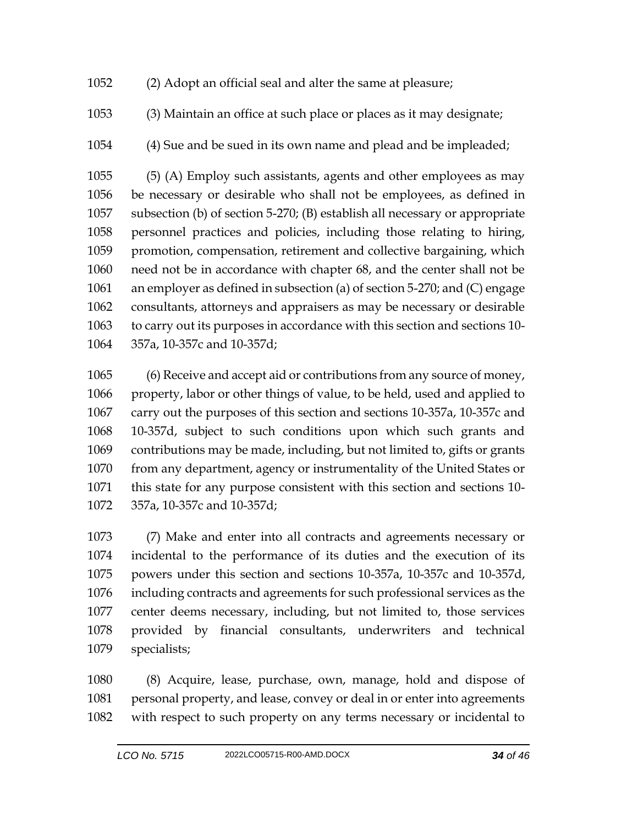- (2) Adopt an official seal and alter the same at pleasure;
- (3) Maintain an office at such place or places as it may designate;
- (4) Sue and be sued in its own name and plead and be impleaded;

 (5) (A) Employ such assistants, agents and other employees as may be necessary or desirable who shall not be employees, as defined in subsection (b) of section 5-270; (B) establish all necessary or appropriate personnel practices and policies, including those relating to hiring, promotion, compensation, retirement and collective bargaining, which need not be in accordance with chapter 68, and the center shall not be an employer as defined in subsection (a) of section 5-270; and (C) engage consultants, attorneys and appraisers as may be necessary or desirable to carry out its purposes in accordance with this section and sections 10- 357a, 10-357c and 10-357d;

 (6) Receive and accept aid or contributions from any source of money, property, labor or other things of value, to be held, used and applied to carry out the purposes of this section and sections 10-357a, 10-357c and 10-357d, subject to such conditions upon which such grants and contributions may be made, including, but not limited to, gifts or grants 1070 from any department, agency or instrumentality of the United States or this state for any purpose consistent with this section and sections 10- 357a, 10-357c and 10-357d;

 (7) Make and enter into all contracts and agreements necessary or incidental to the performance of its duties and the execution of its powers under this section and sections 10-357a, 10-357c and 10-357d, including contracts and agreements for such professional services as the center deems necessary, including, but not limited to, those services provided by financial consultants, underwriters and technical specialists;

 (8) Acquire, lease, purchase, own, manage, hold and dispose of personal property, and lease, convey or deal in or enter into agreements with respect to such property on any terms necessary or incidental to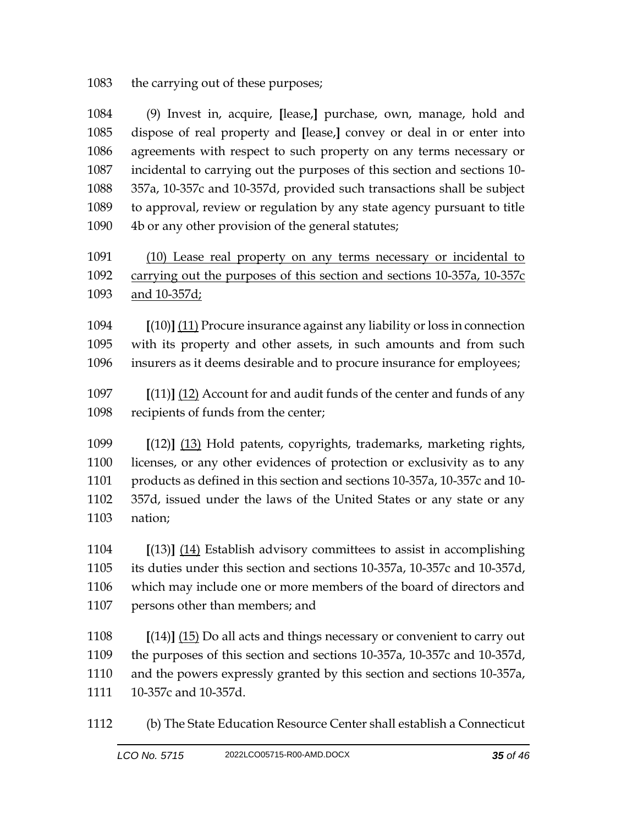1083 the carrying out of these purposes;

 (9) Invest in, acquire, **[**lease,**]** purchase, own, manage, hold and dispose of real property and **[**lease,**]** convey or deal in or enter into agreements with respect to such property on any terms necessary or incidental to carrying out the purposes of this section and sections 10- 357a, 10-357c and 10-357d, provided such transactions shall be subject to approval, review or regulation by any state agency pursuant to title 4b or any other provision of the general statutes;

 (10) Lease real property on any terms necessary or incidental to carrying out the purposes of this section and sections 10-357a, 10-357c and 10-357d;

 **[**(10)**]** (11) Procure insurance against any liability or loss in connection with its property and other assets, in such amounts and from such insurers as it deems desirable and to procure insurance for employees;

 **[**(11)**]** (12) Account for and audit funds of the center and funds of any recipients of funds from the center;

 **[**(12)**]** (13) Hold patents, copyrights, trademarks, marketing rights, licenses, or any other evidences of protection or exclusivity as to any products as defined in this section and sections 10-357a, 10-357c and 10- 357d, issued under the laws of the United States or any state or any nation;

 **[**(13)**]** (14) Establish advisory committees to assist in accomplishing its duties under this section and sections 10-357a, 10-357c and 10-357d, which may include one or more members of the board of directors and persons other than members; and

 **[**(14)**]** (15) Do all acts and things necessary or convenient to carry out the purposes of this section and sections 10-357a, 10-357c and 10-357d, and the powers expressly granted by this section and sections 10-357a, 10-357c and 10-357d.

(b) The State Education Resource Center shall establish a Connecticut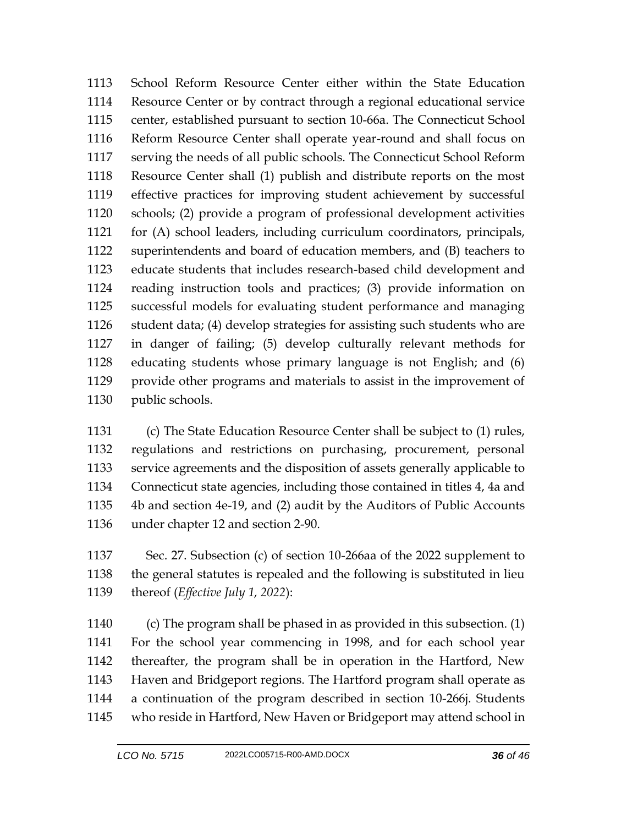School Reform Resource Center either within the State Education Resource Center or by contract through a regional educational service center, established pursuant to section 10-66a. The Connecticut School Reform Resource Center shall operate year-round and shall focus on serving the needs of all public schools. The Connecticut School Reform Resource Center shall (1) publish and distribute reports on the most effective practices for improving student achievement by successful schools; (2) provide a program of professional development activities for (A) school leaders, including curriculum coordinators, principals, superintendents and board of education members, and (B) teachers to educate students that includes research-based child development and reading instruction tools and practices; (3) provide information on successful models for evaluating student performance and managing student data; (4) develop strategies for assisting such students who are in danger of failing; (5) develop culturally relevant methods for educating students whose primary language is not English; and (6) provide other programs and materials to assist in the improvement of public schools.

 (c) The State Education Resource Center shall be subject to (1) rules, regulations and restrictions on purchasing, procurement, personal service agreements and the disposition of assets generally applicable to Connecticut state agencies, including those contained in titles 4, 4a and 4b and section 4e-19, and (2) audit by the Auditors of Public Accounts under chapter 12 and section 2-90.

 Sec. 27. Subsection (c) of section 10-266aa of the 2022 supplement to the general statutes is repealed and the following is substituted in lieu thereof (*Effective July 1, 2022*):

 (c) The program shall be phased in as provided in this subsection. (1) For the school year commencing in 1998, and for each school year thereafter, the program shall be in operation in the Hartford, New Haven and Bridgeport regions. The Hartford program shall operate as a continuation of the program described in section 10-266j. Students who reside in Hartford, New Haven or Bridgeport may attend school in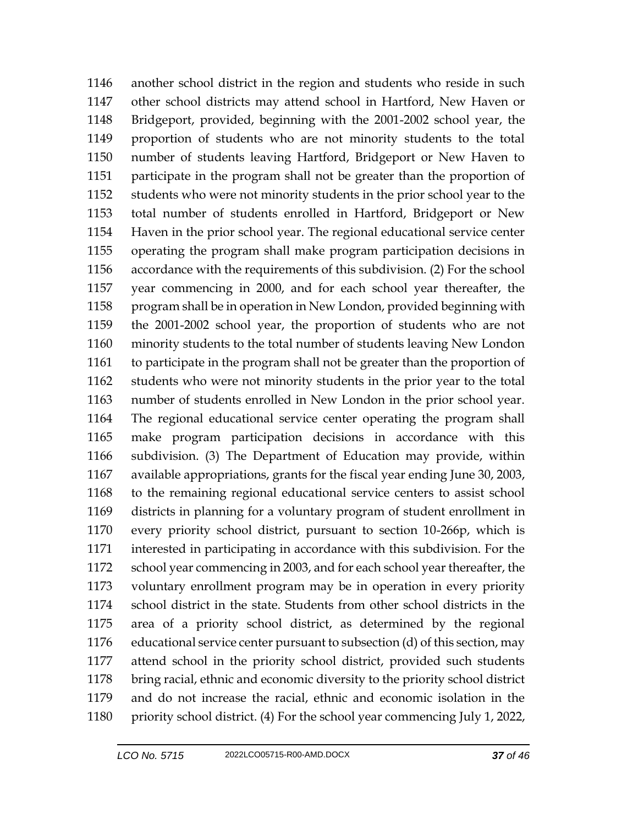another school district in the region and students who reside in such other school districts may attend school in Hartford, New Haven or Bridgeport, provided, beginning with the 2001-2002 school year, the proportion of students who are not minority students to the total number of students leaving Hartford, Bridgeport or New Haven to participate in the program shall not be greater than the proportion of students who were not minority students in the prior school year to the total number of students enrolled in Hartford, Bridgeport or New Haven in the prior school year. The regional educational service center operating the program shall make program participation decisions in accordance with the requirements of this subdivision. (2) For the school year commencing in 2000, and for each school year thereafter, the program shall be in operation in New London, provided beginning with the 2001-2002 school year, the proportion of students who are not minority students to the total number of students leaving New London to participate in the program shall not be greater than the proportion of students who were not minority students in the prior year to the total number of students enrolled in New London in the prior school year. The regional educational service center operating the program shall make program participation decisions in accordance with this subdivision. (3) The Department of Education may provide, within available appropriations, grants for the fiscal year ending June 30, 2003, to the remaining regional educational service centers to assist school districts in planning for a voluntary program of student enrollment in every priority school district, pursuant to section 10-266p, which is interested in participating in accordance with this subdivision. For the school year commencing in 2003, and for each school year thereafter, the voluntary enrollment program may be in operation in every priority school district in the state. Students from other school districts in the area of a priority school district, as determined by the regional educational service center pursuant to subsection (d) of this section, may attend school in the priority school district, provided such students bring racial, ethnic and economic diversity to the priority school district and do not increase the racial, ethnic and economic isolation in the priority school district. (4) For the school year commencing July 1, 2022,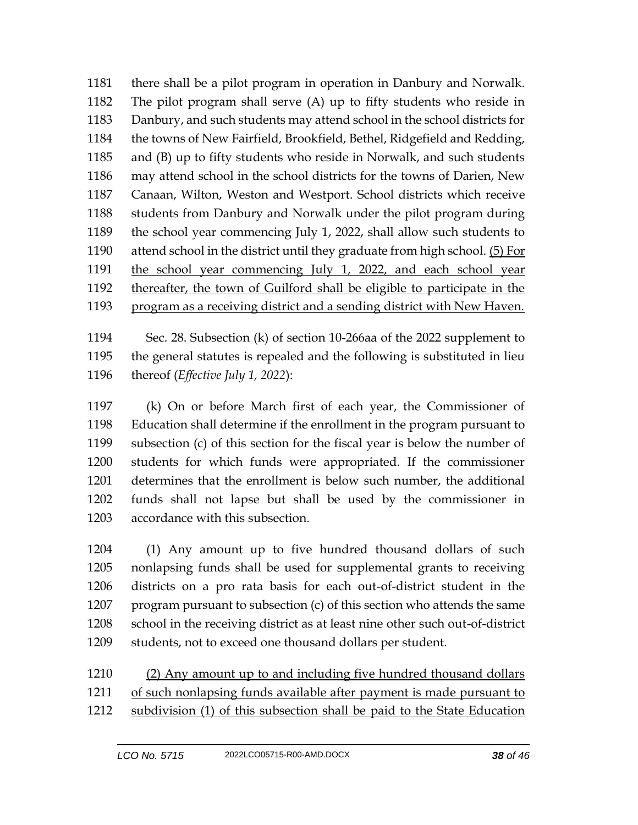there shall be a pilot program in operation in Danbury and Norwalk. The pilot program shall serve (A) up to fifty students who reside in Danbury, and such students may attend school in the school districts for the towns of New Fairfield, Brookfield, Bethel, Ridgefield and Redding, and (B) up to fifty students who reside in Norwalk, and such students may attend school in the school districts for the towns of Darien, New Canaan, Wilton, Weston and Westport. School districts which receive students from Danbury and Norwalk under the pilot program during the school year commencing July 1, 2022, shall allow such students to 1190 attend school in the district until they graduate from high school. (5) For the school year commencing July 1, 2022, and each school year thereafter, the town of Guilford shall be eligible to participate in the program as a receiving district and a sending district with New Haven.

 Sec. 28. Subsection (k) of section 10-266aa of the 2022 supplement to the general statutes is repealed and the following is substituted in lieu thereof (*Effective July 1, 2022*):

 (k) On or before March first of each year, the Commissioner of Education shall determine if the enrollment in the program pursuant to subsection (c) of this section for the fiscal year is below the number of students for which funds were appropriated. If the commissioner determines that the enrollment is below such number, the additional funds shall not lapse but shall be used by the commissioner in accordance with this subsection.

 (1) Any amount up to five hundred thousand dollars of such nonlapsing funds shall be used for supplemental grants to receiving districts on a pro rata basis for each out-of-district student in the program pursuant to subsection (c) of this section who attends the same school in the receiving district as at least nine other such out-of-district students, not to exceed one thousand dollars per student.

 (2) Any amount up to and including five hundred thousand dollars of such nonlapsing funds available after payment is made pursuant to subdivision (1) of this subsection shall be paid to the State Education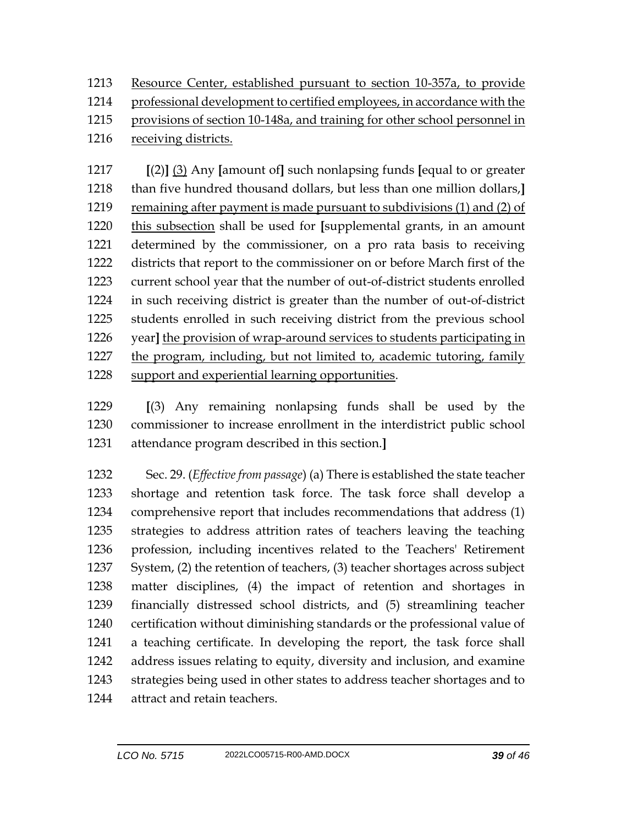Resource Center, established pursuant to section 10-357a, to provide

professional development to certified employees, in accordance with the

provisions of section 10-148a, and training for other school personnel in

receiving districts.

 **[**(2)**]** (3) Any **[**amount of**]** such nonlapsing funds **[**equal to or greater than five hundred thousand dollars, but less than one million dollars,**]** remaining after payment is made pursuant to subdivisions (1) and (2) of this subsection shall be used for **[**supplemental grants, in an amount determined by the commissioner, on a pro rata basis to receiving districts that report to the commissioner on or before March first of the current school year that the number of out-of-district students enrolled in such receiving district is greater than the number of out-of-district students enrolled in such receiving district from the previous school year**]** the provision of wrap-around services to students participating in the program, including, but not limited to, academic tutoring, family support and experiential learning opportunities.

 **[**(3) Any remaining nonlapsing funds shall be used by the commissioner to increase enrollment in the interdistrict public school attendance program described in this section.**]**

 Sec. 29. (*Effective from passage*) (a) There is established the state teacher shortage and retention task force. The task force shall develop a comprehensive report that includes recommendations that address (1) strategies to address attrition rates of teachers leaving the teaching profession, including incentives related to the Teachers' Retirement System, (2) the retention of teachers, (3) teacher shortages across subject matter disciplines, (4) the impact of retention and shortages in financially distressed school districts, and (5) streamlining teacher certification without diminishing standards or the professional value of a teaching certificate. In developing the report, the task force shall address issues relating to equity, diversity and inclusion, and examine strategies being used in other states to address teacher shortages and to attract and retain teachers.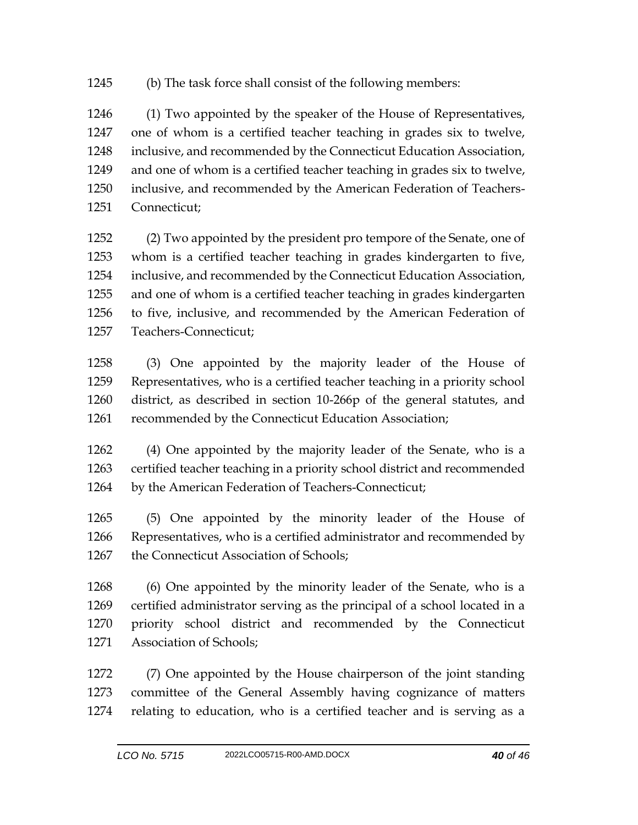(b) The task force shall consist of the following members:

 (1) Two appointed by the speaker of the House of Representatives, one of whom is a certified teacher teaching in grades six to twelve, inclusive, and recommended by the Connecticut Education Association, and one of whom is a certified teacher teaching in grades six to twelve, inclusive, and recommended by the American Federation of Teachers-Connecticut;

 (2) Two appointed by the president pro tempore of the Senate, one of whom is a certified teacher teaching in grades kindergarten to five, inclusive, and recommended by the Connecticut Education Association, and one of whom is a certified teacher teaching in grades kindergarten to five, inclusive, and recommended by the American Federation of Teachers-Connecticut;

 (3) One appointed by the majority leader of the House of Representatives, who is a certified teacher teaching in a priority school district, as described in section 10-266p of the general statutes, and 1261 recommended by the Connecticut Education Association;

 (4) One appointed by the majority leader of the Senate, who is a certified teacher teaching in a priority school district and recommended by the American Federation of Teachers-Connecticut;

 (5) One appointed by the minority leader of the House of Representatives, who is a certified administrator and recommended by the Connecticut Association of Schools;

 (6) One appointed by the minority leader of the Senate, who is a certified administrator serving as the principal of a school located in a priority school district and recommended by the Connecticut Association of Schools;

 (7) One appointed by the House chairperson of the joint standing committee of the General Assembly having cognizance of matters relating to education, who is a certified teacher and is serving as a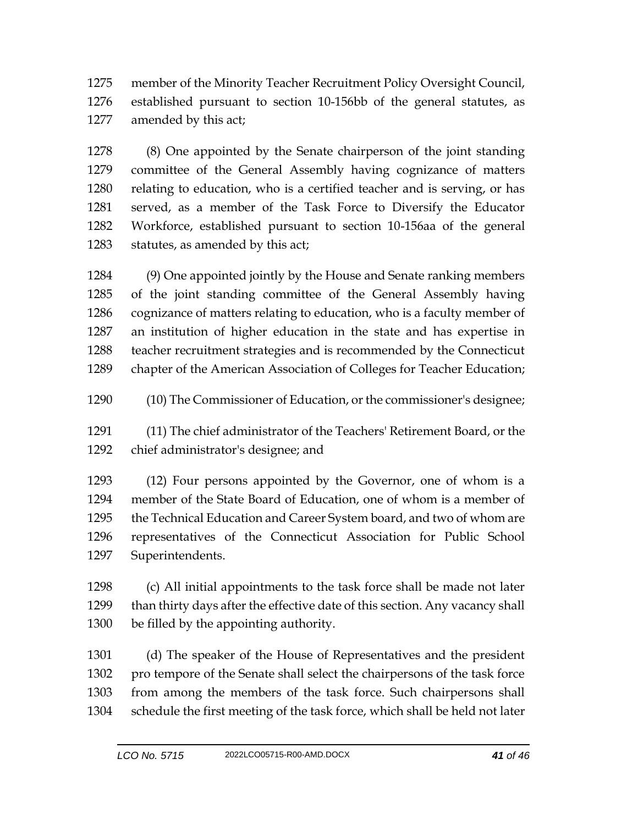member of the Minority Teacher Recruitment Policy Oversight Council, established pursuant to section 10-156bb of the general statutes, as amended by this act;

 (8) One appointed by the Senate chairperson of the joint standing committee of the General Assembly having cognizance of matters relating to education, who is a certified teacher and is serving, or has served, as a member of the Task Force to Diversify the Educator Workforce, established pursuant to section 10-156aa of the general statutes, as amended by this act;

 (9) One appointed jointly by the House and Senate ranking members of the joint standing committee of the General Assembly having cognizance of matters relating to education, who is a faculty member of an institution of higher education in the state and has expertise in teacher recruitment strategies and is recommended by the Connecticut chapter of the American Association of Colleges for Teacher Education;

(10) The Commissioner of Education, or the commissioner's designee;

 (11) The chief administrator of the Teachers' Retirement Board, or the chief administrator's designee; and

 (12) Four persons appointed by the Governor, one of whom is a member of the State Board of Education, one of whom is a member of the Technical Education and Career System board, and two of whom are representatives of the Connecticut Association for Public School Superintendents.

 (c) All initial appointments to the task force shall be made not later than thirty days after the effective date of this section. Any vacancy shall be filled by the appointing authority.

 (d) The speaker of the House of Representatives and the president pro tempore of the Senate shall select the chairpersons of the task force from among the members of the task force. Such chairpersons shall schedule the first meeting of the task force, which shall be held not later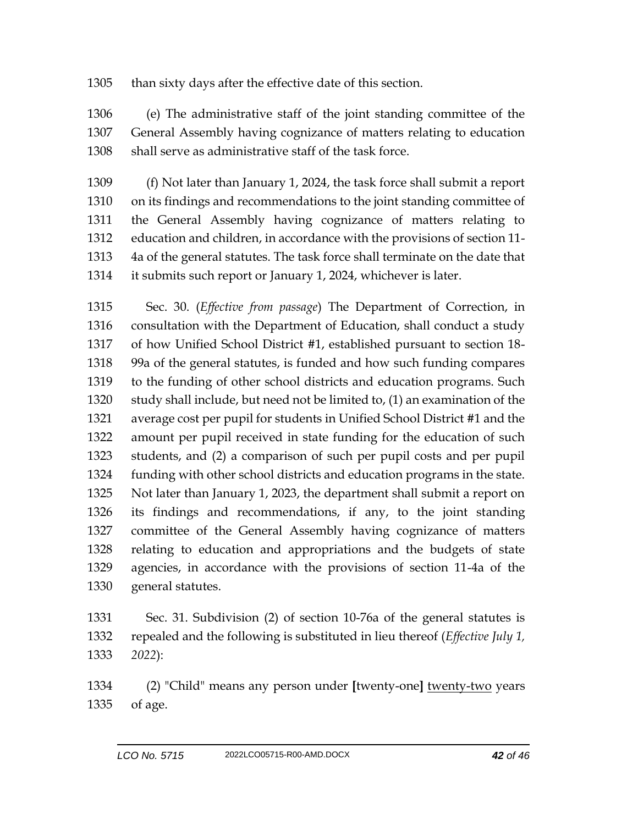## than sixty days after the effective date of this section.

 (e) The administrative staff of the joint standing committee of the General Assembly having cognizance of matters relating to education shall serve as administrative staff of the task force.

 (f) Not later than January 1, 2024, the task force shall submit a report on its findings and recommendations to the joint standing committee of the General Assembly having cognizance of matters relating to education and children, in accordance with the provisions of section 11- 4a of the general statutes. The task force shall terminate on the date that it submits such report or January 1, 2024, whichever is later.

 Sec. 30. (*Effective from passage*) The Department of Correction, in consultation with the Department of Education, shall conduct a study of how Unified School District #1, established pursuant to section 18- 99a of the general statutes, is funded and how such funding compares to the funding of other school districts and education programs. Such study shall include, but need not be limited to, (1) an examination of the average cost per pupil for students in Unified School District #1 and the amount per pupil received in state funding for the education of such students, and (2) a comparison of such per pupil costs and per pupil funding with other school districts and education programs in the state. Not later than January 1, 2023, the department shall submit a report on its findings and recommendations, if any, to the joint standing committee of the General Assembly having cognizance of matters relating to education and appropriations and the budgets of state agencies, in accordance with the provisions of section 11-4a of the general statutes.

 Sec. 31. Subdivision (2) of section 10-76a of the general statutes is repealed and the following is substituted in lieu thereof (*Effective July 1, 2022*):

 (2) "Child" means any person under **[**twenty-one**]** twenty-two years of age.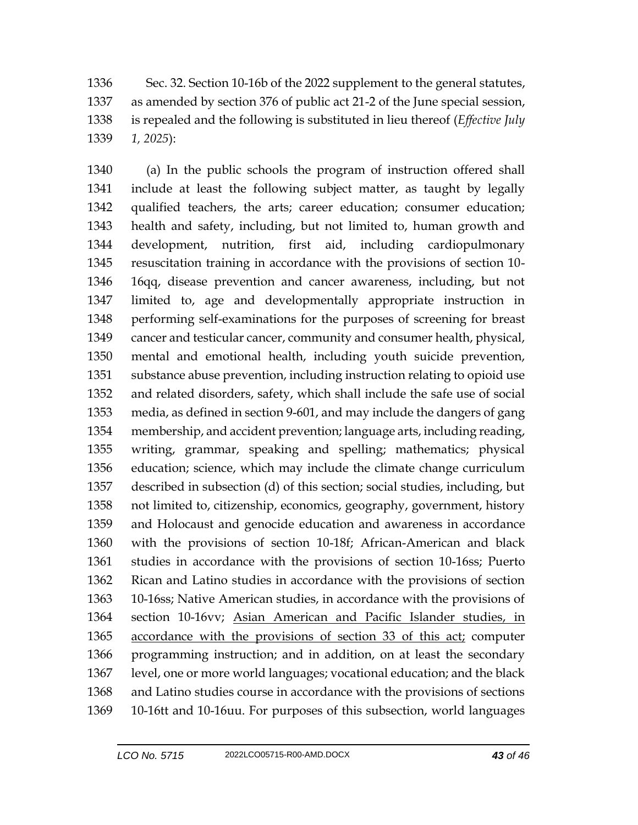Sec. 32. Section 10-16b of the 2022 supplement to the general statutes, as amended by section 376 of public act 21-2 of the June special session, is repealed and the following is substituted in lieu thereof (*Effective July 1, 2025*):

 (a) In the public schools the program of instruction offered shall include at least the following subject matter, as taught by legally qualified teachers, the arts; career education; consumer education; health and safety, including, but not limited to, human growth and development, nutrition, first aid, including cardiopulmonary resuscitation training in accordance with the provisions of section 10- 16qq, disease prevention and cancer awareness, including, but not limited to, age and developmentally appropriate instruction in performing self-examinations for the purposes of screening for breast cancer and testicular cancer, community and consumer health, physical, mental and emotional health, including youth suicide prevention, substance abuse prevention, including instruction relating to opioid use and related disorders, safety, which shall include the safe use of social media, as defined in section 9-601, and may include the dangers of gang membership, and accident prevention; language arts, including reading, writing, grammar, speaking and spelling; mathematics; physical education; science, which may include the climate change curriculum described in subsection (d) of this section; social studies, including, but not limited to, citizenship, economics, geography, government, history and Holocaust and genocide education and awareness in accordance with the provisions of section 10-18f; African-American and black studies in accordance with the provisions of section 10-16ss; Puerto Rican and Latino studies in accordance with the provisions of section 10-16ss; Native American studies, in accordance with the provisions of section 10-16vv; Asian American and Pacific Islander studies, in accordance with the provisions of section 33 of this act; computer programming instruction; and in addition, on at least the secondary level, one or more world languages; vocational education; and the black and Latino studies course in accordance with the provisions of sections 10-16tt and 10-16uu. For purposes of this subsection, world languages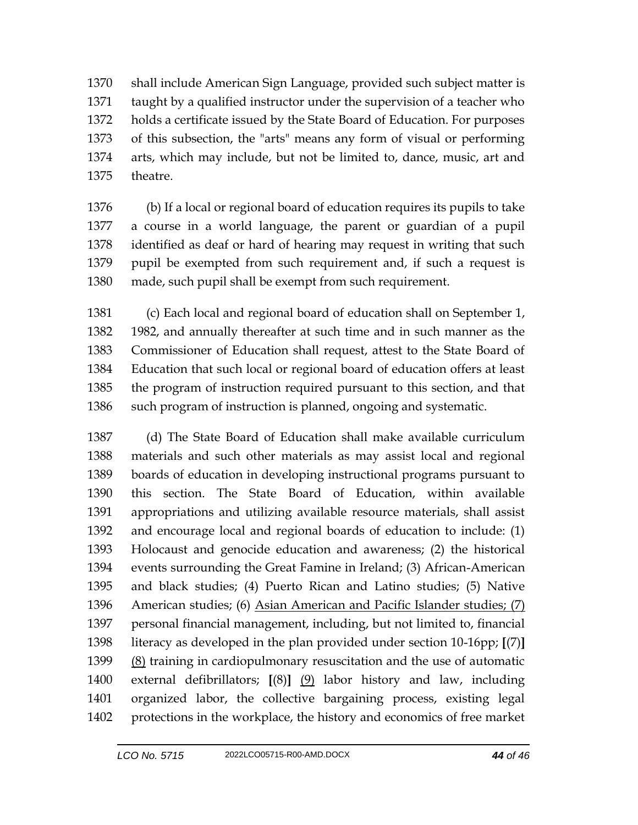shall include American Sign Language, provided such subject matter is taught by a qualified instructor under the supervision of a teacher who holds a certificate issued by the State Board of Education. For purposes of this subsection, the "arts" means any form of visual or performing arts, which may include, but not be limited to, dance, music, art and theatre.

 (b) If a local or regional board of education requires its pupils to take a course in a world language, the parent or guardian of a pupil identified as deaf or hard of hearing may request in writing that such pupil be exempted from such requirement and, if such a request is made, such pupil shall be exempt from such requirement.

 (c) Each local and regional board of education shall on September 1, 1982, and annually thereafter at such time and in such manner as the Commissioner of Education shall request, attest to the State Board of Education that such local or regional board of education offers at least the program of instruction required pursuant to this section, and that 1386 such program of instruction is planned, ongoing and systematic.

 (d) The State Board of Education shall make available curriculum materials and such other materials as may assist local and regional boards of education in developing instructional programs pursuant to this section. The State Board of Education, within available appropriations and utilizing available resource materials, shall assist and encourage local and regional boards of education to include: (1) Holocaust and genocide education and awareness; (2) the historical events surrounding the Great Famine in Ireland; (3) African-American and black studies; (4) Puerto Rican and Latino studies; (5) Native American studies; (6) Asian American and Pacific Islander studies; (7) personal financial management, including, but not limited to, financial literacy as developed in the plan provided under section 10-16pp; **[**(7)**]** (8) training in cardiopulmonary resuscitation and the use of automatic external defibrillators; **[**(8)**]** (9) labor history and law, including organized labor, the collective bargaining process, existing legal protections in the workplace, the history and economics of free market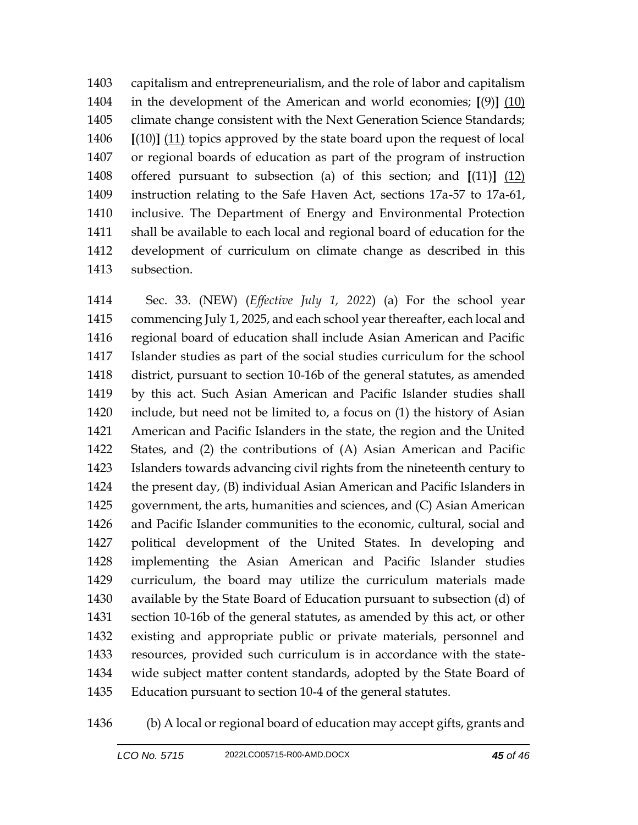capitalism and entrepreneurialism, and the role of labor and capitalism in the development of the American and world economies; **[**(9)**]** (10) 1405 climate change consistent with the Next Generation Science Standards; **[**(10)**]** (11) topics approved by the state board upon the request of local or regional boards of education as part of the program of instruction offered pursuant to subsection (a) of this section; and **[**(11)**]** (12) instruction relating to the Safe Haven Act, sections 17a-57 to 17a-61, inclusive. The Department of Energy and Environmental Protection shall be available to each local and regional board of education for the development of curriculum on climate change as described in this subsection.

 Sec. 33. (NEW) (*Effective July 1, 2022*) (a) For the school year commencing July 1, 2025, and each school year thereafter, each local and regional board of education shall include Asian American and Pacific Islander studies as part of the social studies curriculum for the school district, pursuant to section 10-16b of the general statutes, as amended by this act. Such Asian American and Pacific Islander studies shall include, but need not be limited to, a focus on (1) the history of Asian American and Pacific Islanders in the state, the region and the United States, and (2) the contributions of (A) Asian American and Pacific Islanders towards advancing civil rights from the nineteenth century to the present day, (B) individual Asian American and Pacific Islanders in government, the arts, humanities and sciences, and (C) Asian American and Pacific Islander communities to the economic, cultural, social and political development of the United States. In developing and implementing the Asian American and Pacific Islander studies curriculum, the board may utilize the curriculum materials made available by the State Board of Education pursuant to subsection (d) of section 10-16b of the general statutes, as amended by this act, or other existing and appropriate public or private materials, personnel and resources, provided such curriculum is in accordance with the state- wide subject matter content standards, adopted by the State Board of Education pursuant to section 10-4 of the general statutes.

(b) A local or regional board of education may accept gifts, grants and